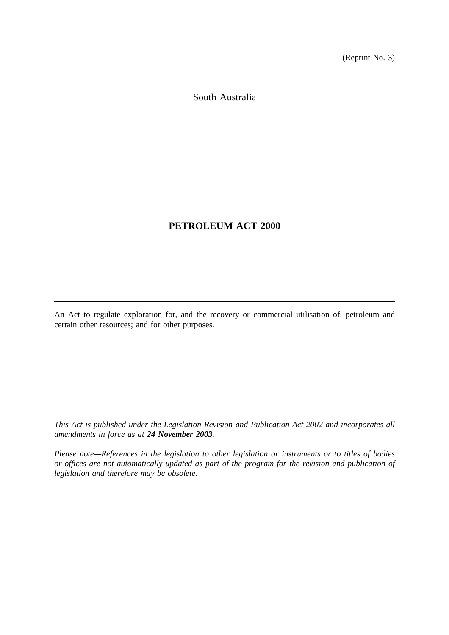(Reprint No. 3)

South Australia

# **PETROLEUM ACT 2000**

An Act to regulate exploration for, and the recovery or commercial utilisation of, petroleum and certain other resources; and for other purposes.

*This Act is published under the Legislation Revision and Publication Act 2002 and incorporates all amendments in force as at 24 November 2003.*

*Please note—References in the legislation to other legislation or instruments or to titles of bodies or offices are not automatically updated as part of the program for the revision and publication of legislation and therefore may be obsolete.*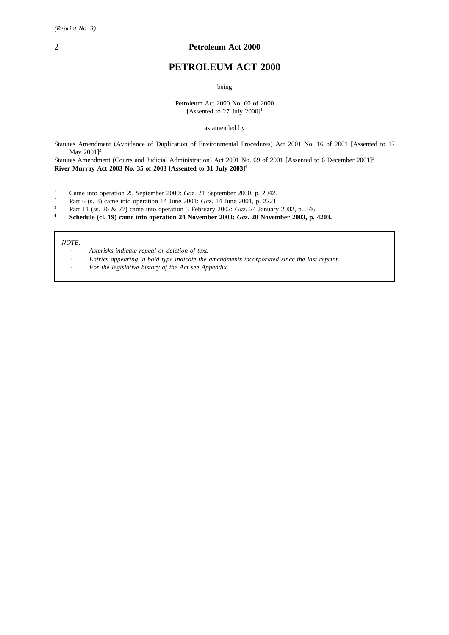# **PETROLEUM ACT 2000**

being

Petroleum Act 2000 No. 60 of 2000 [Assented to 27 July  $2000$ ]<sup>1</sup>

as amended by

Statutes Amendment (Avoidance of Duplication of Environmental Procedures) Act 2001 No. 16 of 2001 [Assented to 17 May 2001]<sup>2</sup>

Statutes Amendment (Courts and Judicial Administration) Act 2001 No. 69 of 2001 [Assented to 6 December 2001]<sup>3</sup> **River Murray Act 2003 No. 35 of 2003 [Assented to 31 July 2003]4**

- <sup>1</sup> Came into operation 25 September 2000: *Gaz*. 21 September 2000, p. 2042.
- <sup>2</sup> Part 6 (s. 8) came into operation 14 June 2001: *Gaz*. 14 June 2001, p. 2221.
- <sup>3</sup> Part 11 (ss. 26 & 27) came into operation 3 February 2002: *Gaz*. 24 January 2002, p. 346.<br>**5** Schedule (cl. 19) came into operation 24 November 2003: *Gaz*. 20 November 2003, p.
- **<sup>4</sup> Schedule (cl. 19) came into operation 24 November 2003:** *Gaz***. 20 November 2003, p. 4203.**

*NOTE:*

- *Asterisks indicate repeal or deletion of text.*
- *Entries appearing in bold type indicate the amendments incorporated since the last reprint.*
- *For the legislative history of the Act see Appendix.*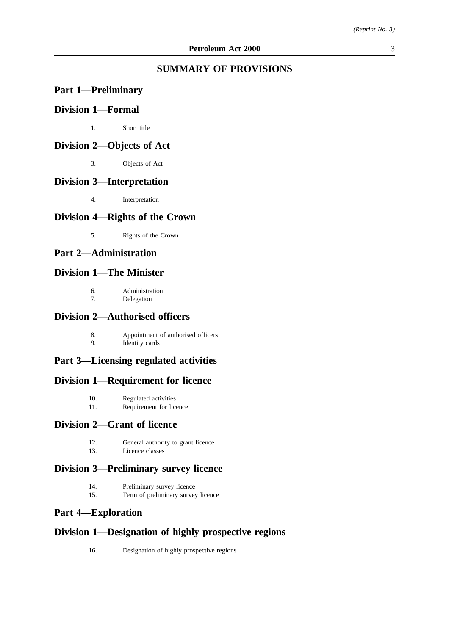# **SUMMARY OF PROVISIONS**

# **Part 1—Preliminary**

# **Division 1—Formal**

1. Short title

# **Division 2—Objects of Act**

3. Objects of Act

# **Division 3—Interpretation**

4. Interpretation

# **Division 4—Rights of the Crown**

5. Rights of the Crown

# **Part 2—Administration**

# **Division 1—The Minister**

6. Administration 7. Delegation

### **Division 2—Authorised officers**

8. Appointment of authorised officers<br>9. Identity cards Identity cards

# **Part 3—Licensing regulated activities**

### **Division 1—Requirement for licence**

- 10. Regulated activities
- 11. Requirement for licence

## **Division 2—Grant of licence**

- 12. General authority to grant licence
- 13. Licence classes

# **Division 3—Preliminary survey licence**

- 14. Preliminary survey licence
- 15. Term of preliminary survey licence

# **Part 4—Exploration**

# **Division 1—Designation of highly prospective regions**

16. Designation of highly prospective regions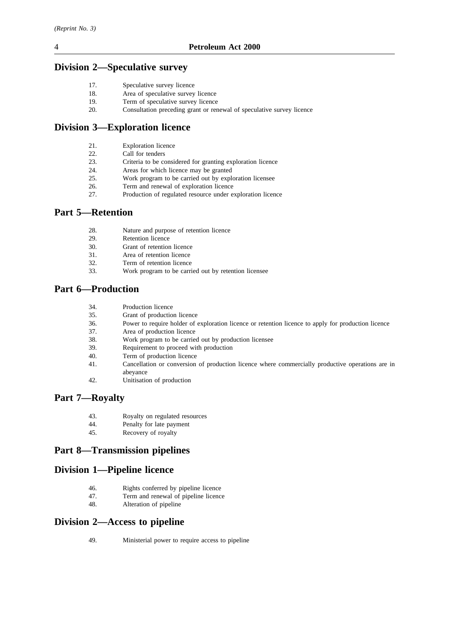# **Division 2—Speculative survey**

| 17. | Speculative survey licence |  |  |
|-----|----------------------------|--|--|
|-----|----------------------------|--|--|

- 18. Area of speculative survey licence
- 19. Term of speculative survey licence
- 20. Consultation preceding grant or renewal of speculative survey licence

# **Division 3—Exploration licence**

- 21. Exploration licence
- 22. Call for tenders
- 23. Criteria to be considered for granting exploration licence
- 24. Areas for which licence may be granted
- 25. Work program to be carried out by exploration licensee
- 26. Term and renewal of exploration licence
- 27. Production of regulated resource under exploration licence

# **Part 5—Retention**

- 28. Nature and purpose of retention licence
- 29. Retention licence
- 30. Grant of retention licence
- 31. Area of retention licence
- 32. Term of retention licence
- 33. Work program to be carried out by retention licensee

# **Part 6—Production**

- 34. Production licence
- 35. Grant of production licence
- 36. Power to require holder of exploration licence or retention licence to apply for production licence
- 37. Area of production licence
- 38. Work program to be carried out by production licensee
- 39. Requirement to proceed with production
- 40. Term of production licence
- 41. Cancellation or conversion of production licence where commercially productive operations are in abeyance
- 42. Unitisation of production

# **Part 7—Royalty**

- 43. Royalty on regulated resources
- 44. Penalty for late payment<br>45. Recovery of royalty
- Recovery of royalty

# **Part 8—Transmission pipelines**

# **Division 1—Pipeline licence**

- 46. Rights conferred by pipeline licence
- 47. Term and renewal of pipeline licence
- 48. Alteration of pipeline

# **Division 2—Access to pipeline**

49. Ministerial power to require access to pipeline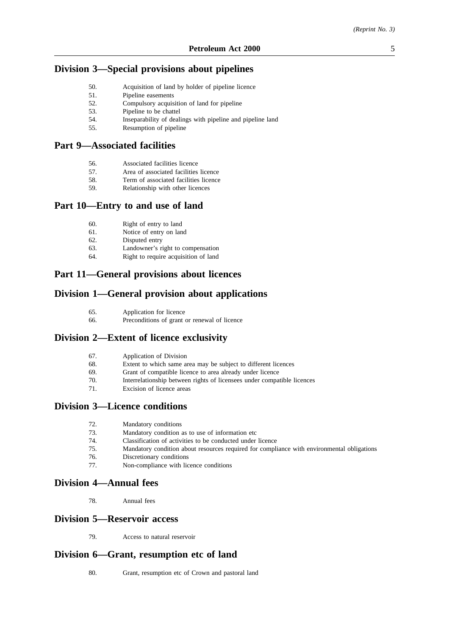# **Division 3—Special provisions about pipelines**

- 50. Acquisition of land by holder of pipeline licence
- 51. Pipeline easements
- 52. Compulsory acquisition of land for pipeline
- 53. Pipeline to be chattel
- 54. Inseparability of dealings with pipeline and pipeline land
- 55. Resumption of pipeline

# **Part 9—Associated facilities**

- 56. Associated facilities licence
- 57. Area of associated facilities licence
- 58. Term of associated facilities licence
- 59. Relationship with other licences

### **Part 10—Entry to and use of land**

- 60. Right of entry to land
- 61. Notice of entry on land
- 62. Disputed entry
- 63. Landowner's right to compensation
- 64. Right to require acquisition of land

# **Part 11—General provisions about licences**

# **Division 1—General provision about applications**

- 65. Application for licence
- 66. Preconditions of grant or renewal of licence

# **Division 2—Extent of licence exclusivity**

| 67. | Application of Division |  |
|-----|-------------------------|--|
|-----|-------------------------|--|

68. Extent to which same area may be subject to different licences

- 69. Grant of compatible licence to area already under licence
- 70. Interrelationship between rights of licensees under compatible licences
- Excision of licence areas

# **Division 3—Licence conditions**

- 72. Mandatory conditions
- 73. Mandatory condition as to use of information etc
- 74. Classification of activities to be conducted under licence
- 75. Mandatory condition about resources required for compliance with environmental obligations
- 76. Discretionary conditions
- 77. Non-compliance with licence conditions

### **Division 4—Annual fees**

78. Annual fees

# **Division 5—Reservoir access**

79. Access to natural reservoir

## **Division 6—Grant, resumption etc of land**

80. Grant, resumption etc of Crown and pastoral land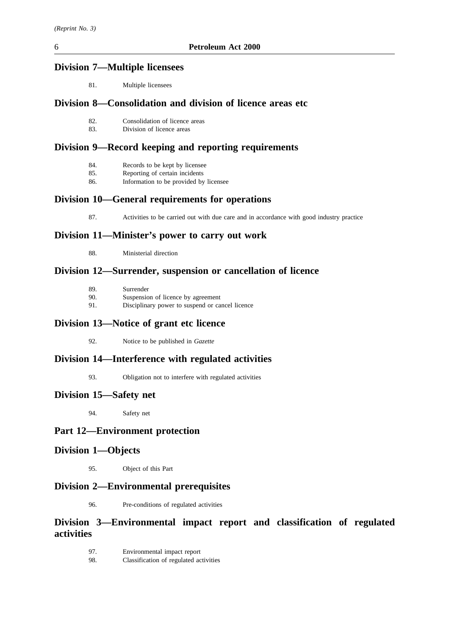# **Division 7—Multiple licensees**

81. Multiple licensees

# **Division 8—Consolidation and division of licence areas etc**

- 82. Consolidation of licence areas<br>83. Division of licence areas
- Division of licence areas

# **Division 9—Record keeping and reporting requirements**

- 85. Reporting of certain incidents
- 86. Information to be provided by licensee

# **Division 10—General requirements for operations**

87. Activities to be carried out with due care and in accordance with good industry practice

# **Division 11—Minister's power to carry out work**

88. Ministerial direction

# **Division 12—Surrender, suspension or cancellation of licence**

| -89. | Surrender                                       |
|------|-------------------------------------------------|
| 90.  | Suspension of licence by agreement              |
| 91.  | Disciplinary power to suspend or cancel licence |

# **Division 13—Notice of grant etc licence**

92. Notice to be published in *Gazette*

# **Division 14—Interference with regulated activities**

93. Obligation not to interfere with regulated activities

# **Division 15—Safety net**

94. Safety net

# **Part 12—Environment protection**

# **Division 1—Objects**

95. Object of this Part

# **Division 2—Environmental prerequisites**

96. Pre-conditions of regulated activities

# **Division 3—Environmental impact report and classification of regulated activities**

- 97. Environmental impact report
- 98. Classification of regulated activities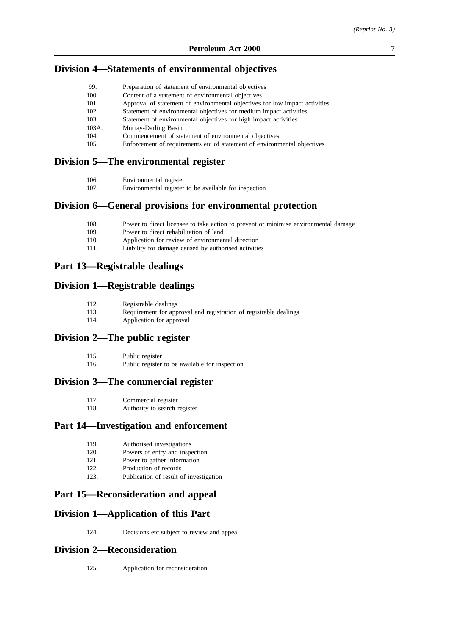## **Division 4—Statements of environmental objectives**

| Approval of statement of environmental objectives for low impact activities |
|-----------------------------------------------------------------------------|
| Statement of environmental objectives for medium impact activities          |
|                                                                             |
|                                                                             |
|                                                                             |

- 104. Commencement of statement of environmental objectives<br>105. Enforcement of requirements etc of statement of environments
- Enforcement of requirements etc of statement of environmental objectives

# **Division 5—The environmental register**

| Environmental register<br>106. |  |
|--------------------------------|--|
|--------------------------------|--|

107. Environmental register to be available for inspection

### **Division 6—General provisions for environmental protection**

- 108. Power to direct licensee to take action to prevent or minimise environmental damage
- 109. Power to direct rehabilitation of land
- 110. Application for review of environmental direction
- 111. Liability for damage caused by authorised activities

## **Part 13—Registrable dealings**

## **Division 1—Registrable dealings**

| 112. | Registrable dealings |  |
|------|----------------------|--|
|------|----------------------|--|

- 113. Requirement for approval and registration of registrable dealings
- 114. Application for approval

## **Division 2—The public register**

- 115. Public register
- 116. Public register to be available for inspection

### **Division 3—The commercial register**

| 117. | Commercial register |  |
|------|---------------------|--|
|------|---------------------|--|

118. Authority to search register

### **Part 14—Investigation and enforcement**

- 119. Authorised investigations
- 120. Powers of entry and inspection
- 121. Power to gather information
- 122. Production of records<br>123. Publication of result of
- Publication of result of investigation

# **Part 15—Reconsideration and appeal**

### **Division 1—Application of this Part**

124. Decisions etc subject to review and appeal

# **Division 2—Reconsideration**

125. Application for reconsideration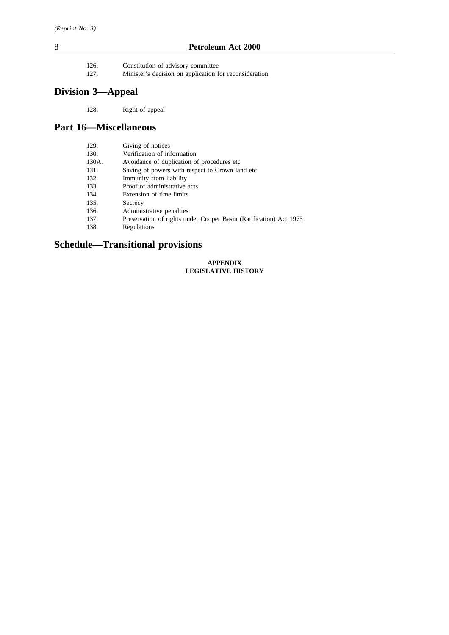- 126. Constitution of advisory committee<br>127. Minister's decision on application f
- Minister's decision on application for reconsideration

# **Division 3—Appeal**

128. Right of appeal

# **Part 16—Miscellaneous**

| 129.  | Giving of notices                                                 |
|-------|-------------------------------------------------------------------|
| 130.  | Verification of information                                       |
| 130A. | Avoidance of duplication of procedures etc.                       |
| 131.  | Saving of powers with respect to Crown land etc.                  |
| 132.  | Immunity from liability                                           |
| 133.  | Proof of administrative acts                                      |
| 134.  | Extension of time limits                                          |
| 135.  | Secrecy                                                           |
| 136.  | Administrative penalties                                          |
| 137.  | Preservation of rights under Cooper Basin (Ratification) Act 1975 |
| 138.  | Regulations                                                       |

# **Schedule—Transitional provisions**

#### **APPENDIX LEGISLATIVE HISTORY**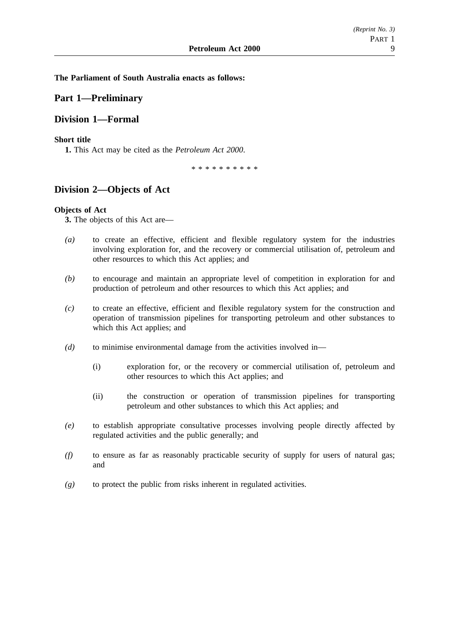**The Parliament of South Australia enacts as follows:**

# **Part 1—Preliminary**

# **Division 1—Formal**

### **Short title**

**1.** This Act may be cited as the *Petroleum Act 2000*.

\*\*\*\*\*\*\*\*\*\*

# **Division 2—Objects of Act**

### **Objects of Act**

**3.** The objects of this Act are—

- *(a)* to create an effective, efficient and flexible regulatory system for the industries involving exploration for, and the recovery or commercial utilisation of, petroleum and other resources to which this Act applies; and
- *(b)* to encourage and maintain an appropriate level of competition in exploration for and production of petroleum and other resources to which this Act applies; and
- *(c)* to create an effective, efficient and flexible regulatory system for the construction and operation of transmission pipelines for transporting petroleum and other substances to which this Act applies; and
- *(d)* to minimise environmental damage from the activities involved in—
	- (i) exploration for, or the recovery or commercial utilisation of, petroleum and other resources to which this Act applies; and
	- (ii) the construction or operation of transmission pipelines for transporting petroleum and other substances to which this Act applies; and
- *(e)* to establish appropriate consultative processes involving people directly affected by regulated activities and the public generally; and
- *(f)* to ensure as far as reasonably practicable security of supply for users of natural gas; and
- *(g)* to protect the public from risks inherent in regulated activities.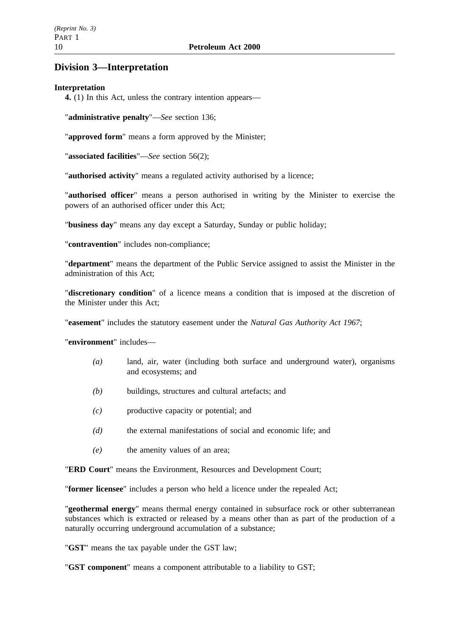# **Division 3—Interpretation**

# **Interpretation**

**4.** (1) In this Act, unless the contrary intention appears—

"**administrative penalty**"—*See* section 136;

"**approved form**" means a form approved by the Minister;

"**associated facilities**"—*See* section 56(2);

"**authorised activity**" means a regulated activity authorised by a licence;

"**authorised officer**" means a person authorised in writing by the Minister to exercise the powers of an authorised officer under this Act;

"**business day**" means any day except a Saturday, Sunday or public holiday;

"**contravention**" includes non-compliance;

"**department**" means the department of the Public Service assigned to assist the Minister in the administration of this Act;

"**discretionary condition**" of a licence means a condition that is imposed at the discretion of the Minister under this Act;

"**easement**" includes the statutory easement under the *Natural Gas Authority Act 1967*;

"**environment**" includes—

- *(a)* land, air, water (including both surface and underground water), organisms and ecosystems; and
- *(b)* buildings, structures and cultural artefacts; and
- *(c)* productive capacity or potential; and
- *(d)* the external manifestations of social and economic life; and
- *(e)* the amenity values of an area;

"**ERD Court**" means the Environment, Resources and Development Court;

"**former licensee**" includes a person who held a licence under the repealed Act;

"**geothermal energy**" means thermal energy contained in subsurface rock or other subterranean substances which is extracted or released by a means other than as part of the production of a naturally occurring underground accumulation of a substance;

"**GST**" means the tax payable under the GST law;

"**GST component**" means a component attributable to a liability to GST;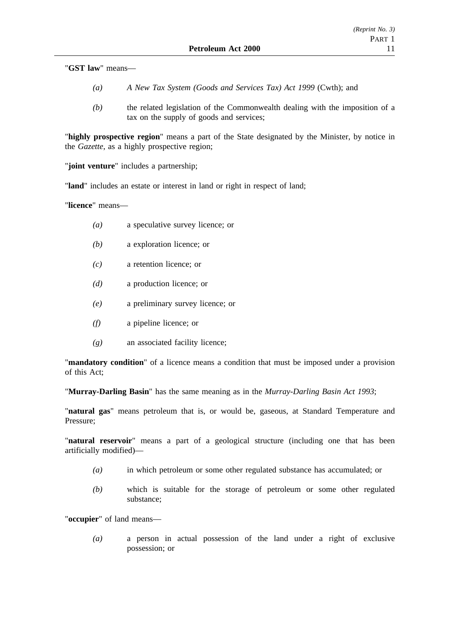"**GST law**" means—

- *(a) A New Tax System (Goods and Services Tax) Act 1999* (Cwth); and
- *(b)* the related legislation of the Commonwealth dealing with the imposition of a tax on the supply of goods and services;

"**highly prospective region**" means a part of the State designated by the Minister, by notice in the *Gazette*, as a highly prospective region;

"**joint venture**" includes a partnership;

"**land**" includes an estate or interest in land or right in respect of land;

"**licence**" means—

- *(a)* a speculative survey licence; or
- *(b)* a exploration licence; or
- *(c)* a retention licence; or
- *(d)* a production licence; or
- *(e)* a preliminary survey licence; or
- *(f)* a pipeline licence; or
- *(g)* an associated facility licence;

"**mandatory condition**" of a licence means a condition that must be imposed under a provision of this Act;

"**Murray-Darling Basin**" has the same meaning as in the *Murray-Darling Basin Act 1993*;

"**natural gas**" means petroleum that is, or would be, gaseous, at Standard Temperature and Pressure;

"**natural reservoir**" means a part of a geological structure (including one that has been artificially modified)—

- *(a)* in which petroleum or some other regulated substance has accumulated; or
- *(b)* which is suitable for the storage of petroleum or some other regulated substance;

"**occupier**" of land means—

*(a)* a person in actual possession of the land under a right of exclusive possession; or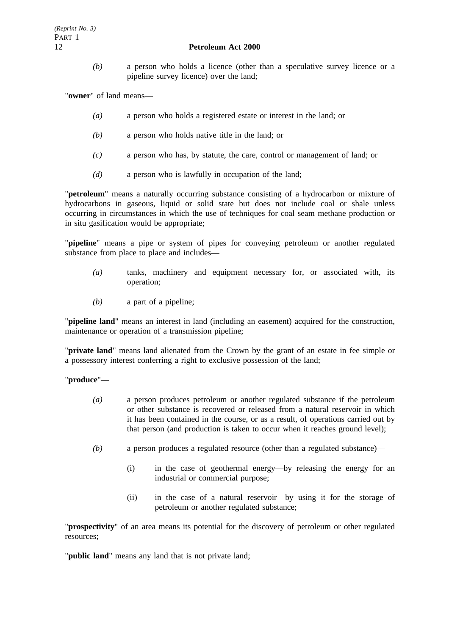*(b)* a person who holds a licence (other than a speculative survey licence or a pipeline survey licence) over the land;

"**owner**" of land means—

- *(a)* a person who holds a registered estate or interest in the land; or
- *(b)* a person who holds native title in the land; or
- *(c)* a person who has, by statute, the care, control or management of land; or
- *(d)* a person who is lawfully in occupation of the land;

"**petroleum**" means a naturally occurring substance consisting of a hydrocarbon or mixture of hydrocarbons in gaseous, liquid or solid state but does not include coal or shale unless occurring in circumstances in which the use of techniques for coal seam methane production or in situ gasification would be appropriate;

"**pipeline**" means a pipe or system of pipes for conveying petroleum or another regulated substance from place to place and includes—

- *(a)* tanks, machinery and equipment necessary for, or associated with, its operation;
- *(b)* a part of a pipeline;

"**pipeline land**" means an interest in land (including an easement) acquired for the construction, maintenance or operation of a transmission pipeline;

"**private land**" means land alienated from the Crown by the grant of an estate in fee simple or a possessory interest conferring a right to exclusive possession of the land;

"**produce**"—

- *(a)* a person produces petroleum or another regulated substance if the petroleum or other substance is recovered or released from a natural reservoir in which it has been contained in the course, or as a result, of operations carried out by that person (and production is taken to occur when it reaches ground level);
- *(b)* a person produces a regulated resource (other than a regulated substance)—
	- (i) in the case of geothermal energy—by releasing the energy for an industrial or commercial purpose;
	- (ii) in the case of a natural reservoir—by using it for the storage of petroleum or another regulated substance;

"**prospectivity**" of an area means its potential for the discovery of petroleum or other regulated resources;

"**public land**" means any land that is not private land;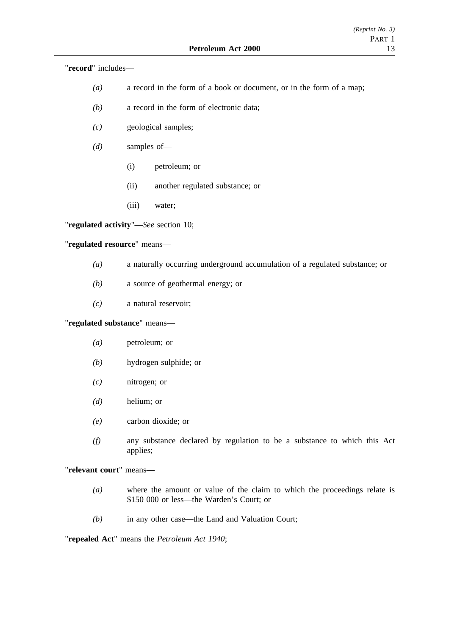"**record**" includes—

- *(a)* a record in the form of a book or document, or in the form of a map;
- *(b)* a record in the form of electronic data;
- *(c)* geological samples;
- *(d)* samples of—
	- (i) petroleum; or
	- (ii) another regulated substance; or
	- (iii) water;

"**regulated activity**"—*See* section 10;

# "**regulated resource**" means—

- *(a)* a naturally occurring underground accumulation of a regulated substance; or
- *(b)* a source of geothermal energy; or
- *(c)* a natural reservoir;

### "**regulated substance**" means—

- *(a)* petroleum; or
- *(b)* hydrogen sulphide; or
- *(c)* nitrogen; or
- *(d)* helium; or
- *(e)* carbon dioxide; or
- *(f)* any substance declared by regulation to be a substance to which this Act applies;

## "**relevant court**" means—

- *(a)* where the amount or value of the claim to which the proceedings relate is \$150 000 or less—the Warden's Court; or
- *(b)* in any other case—the Land and Valuation Court;

"**repealed Act**" means the *Petroleum Act 1940*;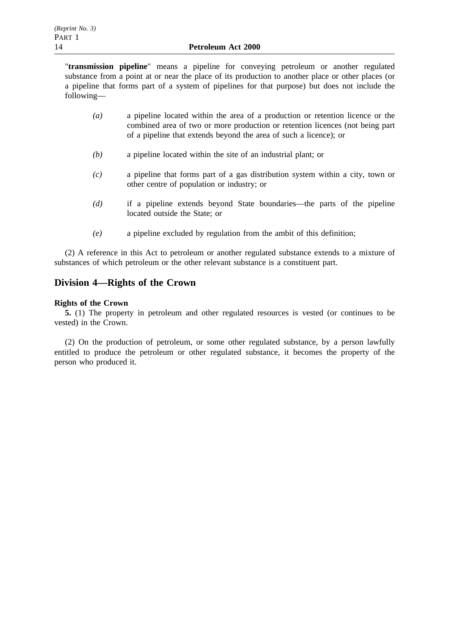#### 14 **Petroleum Act 2000**

"**transmission pipeline**" means a pipeline for conveying petroleum or another regulated substance from a point at or near the place of its production to another place or other places (or a pipeline that forms part of a system of pipelines for that purpose) but does not include the following—

- *(a)* a pipeline located within the area of a production or retention licence or the combined area of two or more production or retention licences (not being part of a pipeline that extends beyond the area of such a licence); or
- *(b)* a pipeline located within the site of an industrial plant; or
- *(c)* a pipeline that forms part of a gas distribution system within a city, town or other centre of population or industry; or
- *(d)* if a pipeline extends beyond State boundaries—the parts of the pipeline located outside the State; or
- *(e)* a pipeline excluded by regulation from the ambit of this definition;

(2) A reference in this Act to petroleum or another regulated substance extends to a mixture of substances of which petroleum or the other relevant substance is a constituent part.

# **Division 4—Rights of the Crown**

### **Rights of the Crown**

**5.** (1) The property in petroleum and other regulated resources is vested (or continues to be vested) in the Crown.

(2) On the production of petroleum, or some other regulated substance, by a person lawfully entitled to produce the petroleum or other regulated substance, it becomes the property of the person who produced it.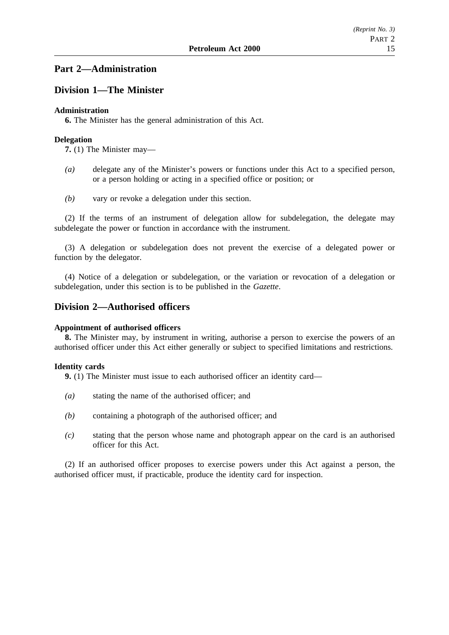# **Part 2—Administration**

# **Division 1—The Minister**

### **Administration**

**6.** The Minister has the general administration of this Act.

### **Delegation**

**7.** (1) The Minister may—

- *(a)* delegate any of the Minister's powers or functions under this Act to a specified person, or a person holding or acting in a specified office or position; or
- *(b)* vary or revoke a delegation under this section.

(2) If the terms of an instrument of delegation allow for subdelegation, the delegate may subdelegate the power or function in accordance with the instrument.

(3) A delegation or subdelegation does not prevent the exercise of a delegated power or function by the delegator.

(4) Notice of a delegation or subdelegation, or the variation or revocation of a delegation or subdelegation, under this section is to be published in the *Gazette*.

# **Division 2—Authorised officers**

### **Appointment of authorised officers**

**8.** The Minister may, by instrument in writing, authorise a person to exercise the powers of an authorised officer under this Act either generally or subject to specified limitations and restrictions.

### **Identity cards**

**9.** (1) The Minister must issue to each authorised officer an identity card—

- *(a)* stating the name of the authorised officer; and
- *(b)* containing a photograph of the authorised officer; and
- *(c)* stating that the person whose name and photograph appear on the card is an authorised officer for this Act.

(2) If an authorised officer proposes to exercise powers under this Act against a person, the authorised officer must, if practicable, produce the identity card for inspection.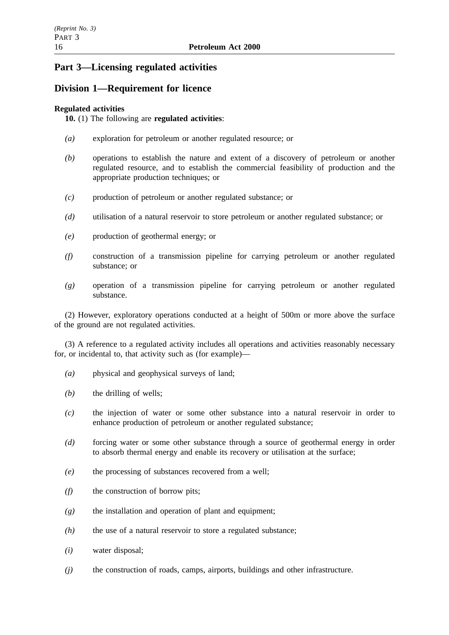# **Part 3—Licensing regulated activities**

# **Division 1—Requirement for licence**

## **Regulated activities**

**10.** (1) The following are **regulated activities**:

- *(a)* exploration for petroleum or another regulated resource; or
- *(b)* operations to establish the nature and extent of a discovery of petroleum or another regulated resource, and to establish the commercial feasibility of production and the appropriate production techniques; or
- *(c)* production of petroleum or another regulated substance; or
- *(d)* utilisation of a natural reservoir to store petroleum or another regulated substance; or
- *(e)* production of geothermal energy; or
- *(f)* construction of a transmission pipeline for carrying petroleum or another regulated substance; or
- *(g)* operation of a transmission pipeline for carrying petroleum or another regulated substance.

(2) However, exploratory operations conducted at a height of 500m or more above the surface of the ground are not regulated activities.

(3) A reference to a regulated activity includes all operations and activities reasonably necessary for, or incidental to, that activity such as (for example)—

- *(a)* physical and geophysical surveys of land;
- *(b)* the drilling of wells;
- *(c)* the injection of water or some other substance into a natural reservoir in order to enhance production of petroleum or another regulated substance;
- *(d)* forcing water or some other substance through a source of geothermal energy in order to absorb thermal energy and enable its recovery or utilisation at the surface;
- *(e)* the processing of substances recovered from a well;
- *(f)* the construction of borrow pits;
- *(g)* the installation and operation of plant and equipment;
- *(h)* the use of a natural reservoir to store a regulated substance;
- *(i)* water disposal;
- *(j)* the construction of roads, camps, airports, buildings and other infrastructure.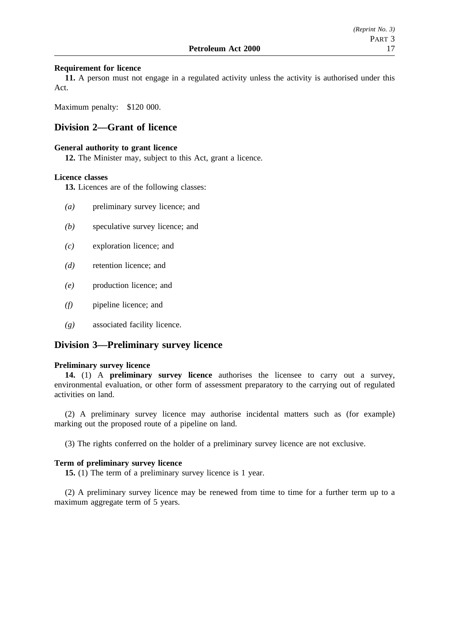#### **Requirement for licence**

**11.** A person must not engage in a regulated activity unless the activity is authorised under this Act.

Maximum penalty: \$120 000.

# **Division 2—Grant of licence**

#### **General authority to grant licence**

**12.** The Minister may, subject to this Act, grant a licence.

### **Licence classes**

**13.** Licences are of the following classes:

- *(a)* preliminary survey licence; and
- *(b)* speculative survey licence; and
- *(c)* exploration licence; and
- *(d)* retention licence; and
- *(e)* production licence; and
- *(f)* pipeline licence; and
- *(g)* associated facility licence.

## **Division 3—Preliminary survey licence**

#### **Preliminary survey licence**

**14.** (1) A **preliminary survey licence** authorises the licensee to carry out a survey, environmental evaluation, or other form of assessment preparatory to the carrying out of regulated activities on land.

(2) A preliminary survey licence may authorise incidental matters such as (for example) marking out the proposed route of a pipeline on land.

(3) The rights conferred on the holder of a preliminary survey licence are not exclusive.

#### **Term of preliminary survey licence**

**15.** (1) The term of a preliminary survey licence is 1 year.

(2) A preliminary survey licence may be renewed from time to time for a further term up to a maximum aggregate term of 5 years.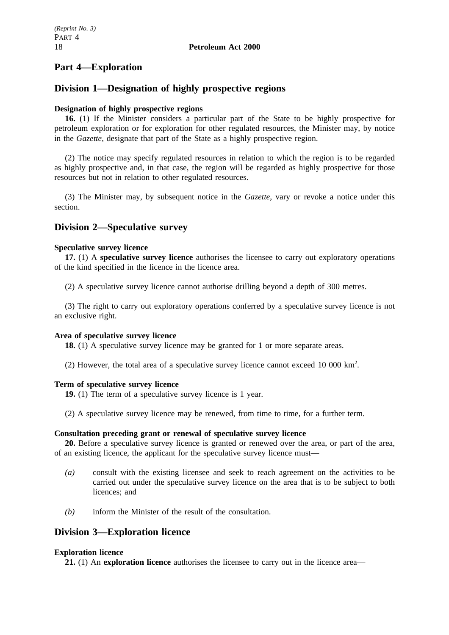# **Part 4—Exploration**

# **Division 1—Designation of highly prospective regions**

#### **Designation of highly prospective regions**

**16.** (1) If the Minister considers a particular part of the State to be highly prospective for petroleum exploration or for exploration for other regulated resources, the Minister may, by notice in the *Gazette*, designate that part of the State as a highly prospective region.

(2) The notice may specify regulated resources in relation to which the region is to be regarded as highly prospective and, in that case, the region will be regarded as highly prospective for those resources but not in relation to other regulated resources.

(3) The Minister may, by subsequent notice in the *Gazette*, vary or revoke a notice under this section.

# **Division 2—Speculative survey**

#### **Speculative survey licence**

**17.** (1) A **speculative survey licence** authorises the licensee to carry out exploratory operations of the kind specified in the licence in the licence area.

(2) A speculative survey licence cannot authorise drilling beyond a depth of 300 metres.

(3) The right to carry out exploratory operations conferred by a speculative survey licence is not an exclusive right.

#### **Area of speculative survey licence**

**18.** (1) A speculative survey licence may be granted for 1 or more separate areas.

(2) However, the total area of a speculative survey licence cannot exceed 10 000  $\text{km}^2$ .

#### **Term of speculative survey licence**

- **19.** (1) The term of a speculative survey licence is 1 year.
- (2) A speculative survey licence may be renewed, from time to time, for a further term.

#### **Consultation preceding grant or renewal of speculative survey licence**

**20.** Before a speculative survey licence is granted or renewed over the area, or part of the area, of an existing licence, the applicant for the speculative survey licence must—

- *(a)* consult with the existing licensee and seek to reach agreement on the activities to be carried out under the speculative survey licence on the area that is to be subject to both licences; and
- *(b)* inform the Minister of the result of the consultation.

# **Division 3—Exploration licence**

#### **Exploration licence**

**21.** (1) An **exploration licence** authorises the licensee to carry out in the licence area—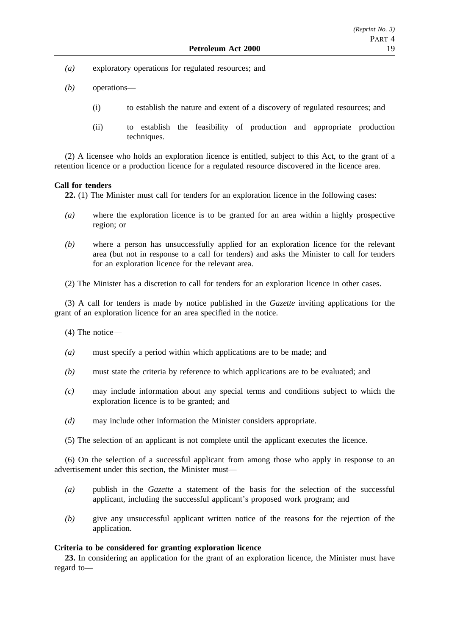- *(a)* exploratory operations for regulated resources; and
- *(b)* operations—
	- (i) to establish the nature and extent of a discovery of regulated resources; and
	- (ii) to establish the feasibility of production and appropriate production techniques.

(2) A licensee who holds an exploration licence is entitled, subject to this Act, to the grant of a retention licence or a production licence for a regulated resource discovered in the licence area.

#### **Call for tenders**

**22.** (1) The Minister must call for tenders for an exploration licence in the following cases:

- *(a)* where the exploration licence is to be granted for an area within a highly prospective region; or
- *(b)* where a person has unsuccessfully applied for an exploration licence for the relevant area (but not in response to a call for tenders) and asks the Minister to call for tenders for an exploration licence for the relevant area.

(2) The Minister has a discretion to call for tenders for an exploration licence in other cases.

(3) A call for tenders is made by notice published in the *Gazette* inviting applications for the grant of an exploration licence for an area specified in the notice.

(4) The notice—

- *(a)* must specify a period within which applications are to be made; and
- *(b)* must state the criteria by reference to which applications are to be evaluated; and
- *(c)* may include information about any special terms and conditions subject to which the exploration licence is to be granted; and
- *(d)* may include other information the Minister considers appropriate.
- (5) The selection of an applicant is not complete until the applicant executes the licence.

(6) On the selection of a successful applicant from among those who apply in response to an advertisement under this section, the Minister must—

- *(a)* publish in the *Gazette* a statement of the basis for the selection of the successful applicant, including the successful applicant's proposed work program; and
- *(b)* give any unsuccessful applicant written notice of the reasons for the rejection of the application.

### **Criteria to be considered for granting exploration licence**

**23.** In considering an application for the grant of an exploration licence, the Minister must have regard to—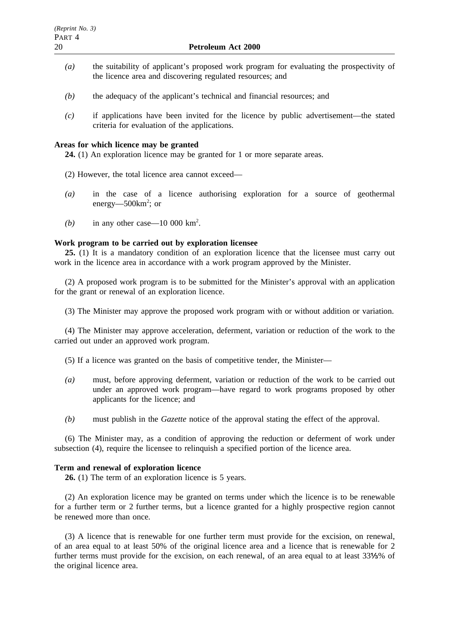- *(a)* the suitability of applicant's proposed work program for evaluating the prospectivity of the licence area and discovering regulated resources; and
- *(b)* the adequacy of the applicant's technical and financial resources; and
- *(c)* if applications have been invited for the licence by public advertisement—the stated criteria for evaluation of the applications.

#### **Areas for which licence may be granted**

**24.** (1) An exploration licence may be granted for 1 or more separate areas.

- (2) However, the total licence area cannot exceed—
- *(a)* in the case of a licence authorising exploration for a source of geothermal energy—500km<sup>2</sup>; or
- (b) in any other case  $-10\,000\,\mathrm{km^2}$ .

### **Work program to be carried out by exploration licensee**

**25.** (1) It is a mandatory condition of an exploration licence that the licensee must carry out work in the licence area in accordance with a work program approved by the Minister.

(2) A proposed work program is to be submitted for the Minister's approval with an application for the grant or renewal of an exploration licence.

(3) The Minister may approve the proposed work program with or without addition or variation.

(4) The Minister may approve acceleration, deferment, variation or reduction of the work to the carried out under an approved work program.

(5) If a licence was granted on the basis of competitive tender, the Minister—

- *(a)* must, before approving deferment, variation or reduction of the work to be carried out under an approved work program—have regard to work programs proposed by other applicants for the licence; and
- *(b)* must publish in the *Gazette* notice of the approval stating the effect of the approval.

(6) The Minister may, as a condition of approving the reduction or deferment of work under subsection (4), require the licensee to relinquish a specified portion of the licence area.

#### **Term and renewal of exploration licence**

**26.** (1) The term of an exploration licence is 5 years.

(2) An exploration licence may be granted on terms under which the licence is to be renewable for a further term or 2 further terms, but a licence granted for a highly prospective region cannot be renewed more than once.

(3) A licence that is renewable for one further term must provide for the excision, on renewal, of an area equal to at least 50% of the original licence area and a licence that is renewable for 2 further terms must provide for the excision, on each renewal, of an area equal to at least 33%% of the original licence area.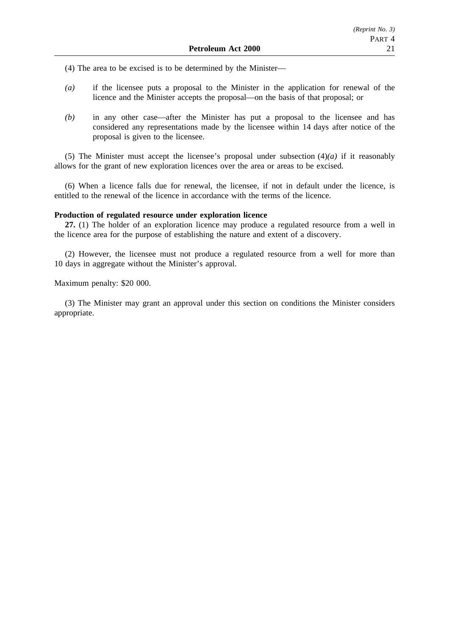(4) The area to be excised is to be determined by the Minister—

- *(a)* if the licensee puts a proposal to the Minister in the application for renewal of the licence and the Minister accepts the proposal—on the basis of that proposal; or
- *(b)* in any other case—after the Minister has put a proposal to the licensee and has considered any representations made by the licensee within 14 days after notice of the proposal is given to the licensee.

(5) The Minister must accept the licensee's proposal under subsection  $(4)(a)$  if it reasonably allows for the grant of new exploration licences over the area or areas to be excised.

(6) When a licence falls due for renewal, the licensee, if not in default under the licence, is entitled to the renewal of the licence in accordance with the terms of the licence.

#### **Production of regulated resource under exploration licence**

**27.** (1) The holder of an exploration licence may produce a regulated resource from a well in the licence area for the purpose of establishing the nature and extent of a discovery.

(2) However, the licensee must not produce a regulated resource from a well for more than 10 days in aggregate without the Minister's approval.

#### Maximum penalty: \$20 000.

(3) The Minister may grant an approval under this section on conditions the Minister considers appropriate.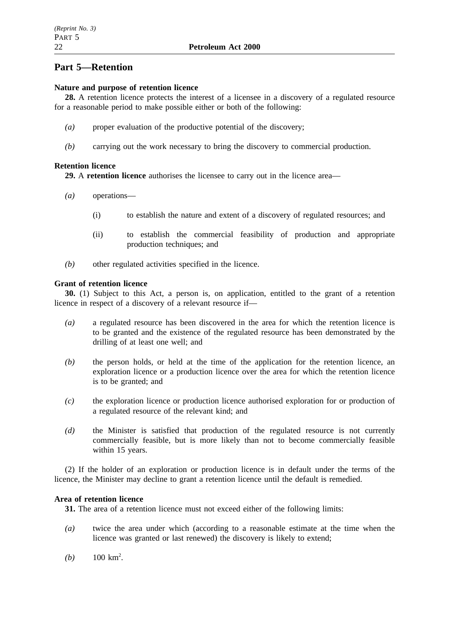# **Part 5—Retention**

### **Nature and purpose of retention licence**

**28.** A retention licence protects the interest of a licensee in a discovery of a regulated resource for a reasonable period to make possible either or both of the following:

- *(a)* proper evaluation of the productive potential of the discovery;
- *(b)* carrying out the work necessary to bring the discovery to commercial production.

## **Retention licence**

**29.** A **retention licence** authorises the licensee to carry out in the licence area—

- *(a)* operations—
	- (i) to establish the nature and extent of a discovery of regulated resources; and
	- (ii) to establish the commercial feasibility of production and appropriate production techniques; and
- *(b)* other regulated activities specified in the licence.

## **Grant of retention licence**

**30.** (1) Subject to this Act, a person is, on application, entitled to the grant of a retention licence in respect of a discovery of a relevant resource if—

- *(a)* a regulated resource has been discovered in the area for which the retention licence is to be granted and the existence of the regulated resource has been demonstrated by the drilling of at least one well; and
- *(b)* the person holds, or held at the time of the application for the retention licence, an exploration licence or a production licence over the area for which the retention licence is to be granted; and
- *(c)* the exploration licence or production licence authorised exploration for or production of a regulated resource of the relevant kind; and
- *(d)* the Minister is satisfied that production of the regulated resource is not currently commercially feasible, but is more likely than not to become commercially feasible within 15 years.

(2) If the holder of an exploration or production licence is in default under the terms of the licence, the Minister may decline to grant a retention licence until the default is remedied.

### **Area of retention licence**

**31.** The area of a retention licence must not exceed either of the following limits:

- *(a)* twice the area under which (according to a reasonable estimate at the time when the licence was granted or last renewed) the discovery is likely to extend;
- (*b*)  $100 \text{ km}^2$ .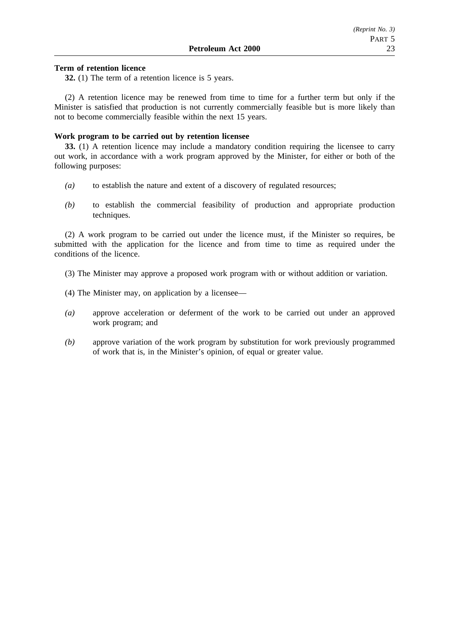#### **Term of retention licence**

**32.** (1) The term of a retention licence is 5 years.

(2) A retention licence may be renewed from time to time for a further term but only if the Minister is satisfied that production is not currently commercially feasible but is more likely than not to become commercially feasible within the next 15 years.

### **Work program to be carried out by retention licensee**

**33.** (1) A retention licence may include a mandatory condition requiring the licensee to carry out work, in accordance with a work program approved by the Minister, for either or both of the following purposes:

- *(a)* to establish the nature and extent of a discovery of regulated resources;
- *(b)* to establish the commercial feasibility of production and appropriate production techniques.

(2) A work program to be carried out under the licence must, if the Minister so requires, be submitted with the application for the licence and from time to time as required under the conditions of the licence.

- (3) The Minister may approve a proposed work program with or without addition or variation.
- (4) The Minister may, on application by a licensee—
- *(a)* approve acceleration or deferment of the work to be carried out under an approved work program; and
- *(b)* approve variation of the work program by substitution for work previously programmed of work that is, in the Minister's opinion, of equal or greater value.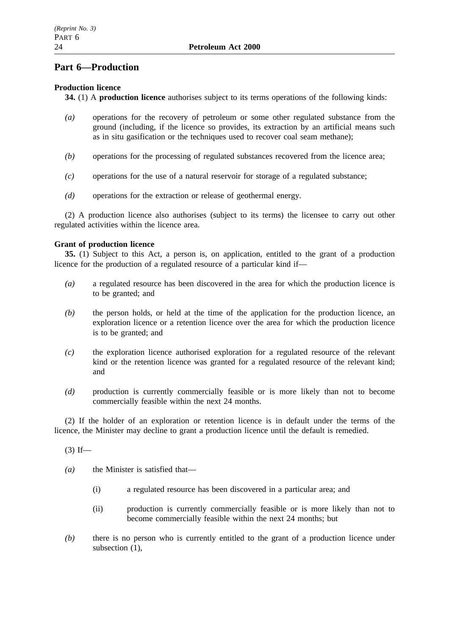# **Part 6—Production**

# **Production licence**

**34.** (1) A **production licence** authorises subject to its terms operations of the following kinds:

- *(a)* operations for the recovery of petroleum or some other regulated substance from the ground (including, if the licence so provides, its extraction by an artificial means such as in situ gasification or the techniques used to recover coal seam methane);
- *(b)* operations for the processing of regulated substances recovered from the licence area;
- *(c)* operations for the use of a natural reservoir for storage of a regulated substance;
- *(d)* operations for the extraction or release of geothermal energy.

(2) A production licence also authorises (subject to its terms) the licensee to carry out other regulated activities within the licence area.

## **Grant of production licence**

**35.** (1) Subject to this Act, a person is, on application, entitled to the grant of a production licence for the production of a regulated resource of a particular kind if—

- *(a)* a regulated resource has been discovered in the area for which the production licence is to be granted; and
- *(b)* the person holds, or held at the time of the application for the production licence, an exploration licence or a retention licence over the area for which the production licence is to be granted; and
- *(c)* the exploration licence authorised exploration for a regulated resource of the relevant kind or the retention licence was granted for a regulated resource of the relevant kind; and
- *(d)* production is currently commercially feasible or is more likely than not to become commercially feasible within the next 24 months.

(2) If the holder of an exploration or retention licence is in default under the terms of the licence, the Minister may decline to grant a production licence until the default is remedied.

 $(3)$  If—

*(a)* the Minister is satisfied that—

- (i) a regulated resource has been discovered in a particular area; and
- (ii) production is currently commercially feasible or is more likely than not to become commercially feasible within the next 24 months; but
- *(b)* there is no person who is currently entitled to the grant of a production licence under subsection (1),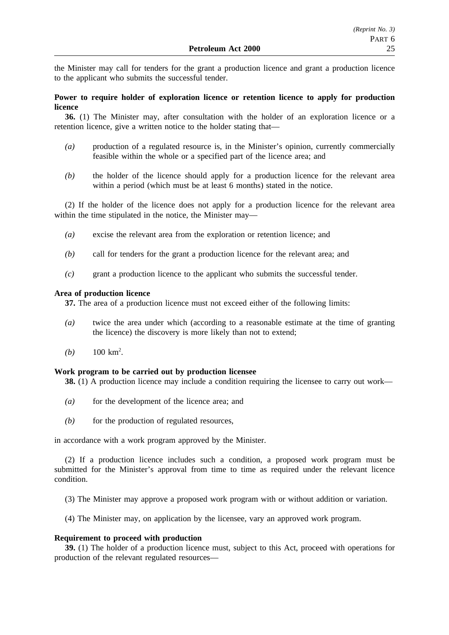the Minister may call for tenders for the grant a production licence and grant a production licence to the applicant who submits the successful tender.

### **Power to require holder of exploration licence or retention licence to apply for production licence**

**36.** (1) The Minister may, after consultation with the holder of an exploration licence or a retention licence, give a written notice to the holder stating that—

- *(a)* production of a regulated resource is, in the Minister's opinion, currently commercially feasible within the whole or a specified part of the licence area; and
- *(b)* the holder of the licence should apply for a production licence for the relevant area within a period (which must be at least 6 months) stated in the notice.

(2) If the holder of the licence does not apply for a production licence for the relevant area within the time stipulated in the notice, the Minister may—

- *(a)* excise the relevant area from the exploration or retention licence; and
- *(b)* call for tenders for the grant a production licence for the relevant area; and
- *(c)* grant a production licence to the applicant who submits the successful tender.

### **Area of production licence**

**37.** The area of a production licence must not exceed either of the following limits:

- *(a)* twice the area under which (according to a reasonable estimate at the time of granting the licence) the discovery is more likely than not to extend;
- (*b*)  $100 \text{ km}^2$ .

#### **Work program to be carried out by production licensee**

**38.** (1) A production licence may include a condition requiring the licensee to carry out work—

- *(a)* for the development of the licence area; and
- *(b)* for the production of regulated resources,

in accordance with a work program approved by the Minister.

(2) If a production licence includes such a condition, a proposed work program must be submitted for the Minister's approval from time to time as required under the relevant licence condition.

- (3) The Minister may approve a proposed work program with or without addition or variation.
- (4) The Minister may, on application by the licensee, vary an approved work program.

#### **Requirement to proceed with production**

**39.** (1) The holder of a production licence must, subject to this Act, proceed with operations for production of the relevant regulated resources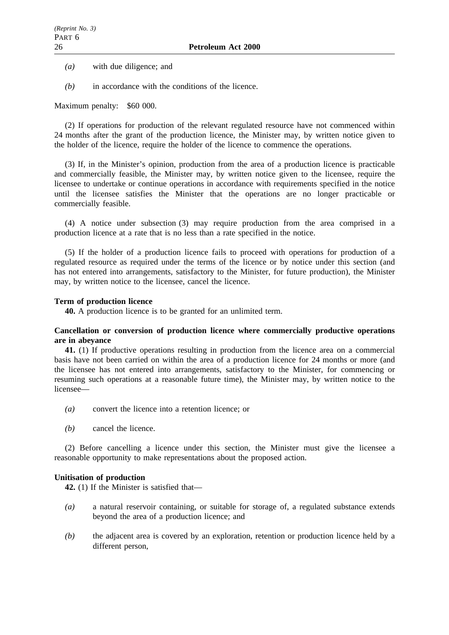*(a)* with due diligence; and

*(b)* in accordance with the conditions of the licence.

Maximum penalty: \$60 000.

(2) If operations for production of the relevant regulated resource have not commenced within 24 months after the grant of the production licence, the Minister may, by written notice given to the holder of the licence, require the holder of the licence to commence the operations.

(3) If, in the Minister's opinion, production from the area of a production licence is practicable and commercially feasible, the Minister may, by written notice given to the licensee, require the licensee to undertake or continue operations in accordance with requirements specified in the notice until the licensee satisfies the Minister that the operations are no longer practicable or commercially feasible.

(4) A notice under subsection (3) may require production from the area comprised in a production licence at a rate that is no less than a rate specified in the notice.

(5) If the holder of a production licence fails to proceed with operations for production of a regulated resource as required under the terms of the licence or by notice under this section (and has not entered into arrangements, satisfactory to the Minister, for future production), the Minister may, by written notice to the licensee, cancel the licence.

### **Term of production licence**

**40.** A production licence is to be granted for an unlimited term.

### **Cancellation or conversion of production licence where commercially productive operations are in abeyance**

**41.** (1) If productive operations resulting in production from the licence area on a commercial basis have not been carried on within the area of a production licence for 24 months or more (and the licensee has not entered into arrangements, satisfactory to the Minister, for commencing or resuming such operations at a reasonable future time), the Minister may, by written notice to the licensee—

- *(a)* convert the licence into a retention licence; or
- *(b)* cancel the licence.

(2) Before cancelling a licence under this section, the Minister must give the licensee a reasonable opportunity to make representations about the proposed action.

### **Unitisation of production**

**42.** (1) If the Minister is satisfied that—

- *(a)* a natural reservoir containing, or suitable for storage of, a regulated substance extends beyond the area of a production licence; and
- *(b)* the adjacent area is covered by an exploration, retention or production licence held by a different person,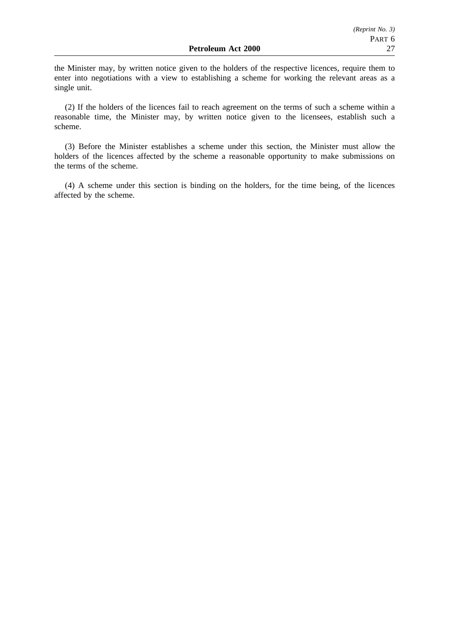the Minister may, by written notice given to the holders of the respective licences, require them to enter into negotiations with a view to establishing a scheme for working the relevant areas as a single unit.

(2) If the holders of the licences fail to reach agreement on the terms of such a scheme within a reasonable time, the Minister may, by written notice given to the licensees, establish such a scheme.

(3) Before the Minister establishes a scheme under this section, the Minister must allow the holders of the licences affected by the scheme a reasonable opportunity to make submissions on the terms of the scheme.

(4) A scheme under this section is binding on the holders, for the time being, of the licences affected by the scheme.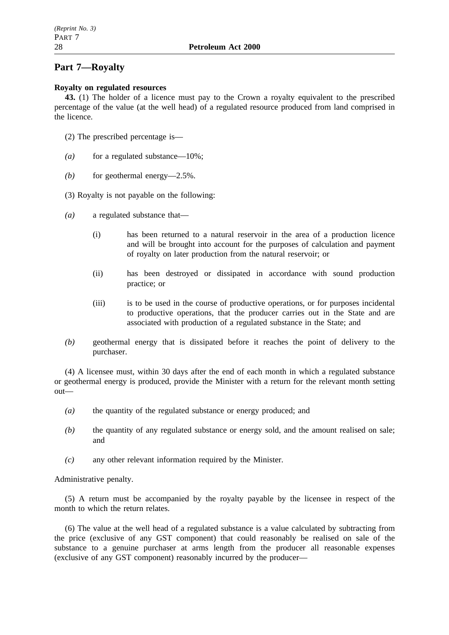### 28 **Petroleum Act 2000**

# **Part 7—Royalty**

### **Royalty on regulated resources**

**43.** (1) The holder of a licence must pay to the Crown a royalty equivalent to the prescribed percentage of the value (at the well head) of a regulated resource produced from land comprised in the licence.

- (2) The prescribed percentage is—
- *(a)* for a regulated substance—10%;
- *(b)* for geothermal energy—2.5%.
- (3) Royalty is not payable on the following:
- *(a)* a regulated substance that—
	- (i) has been returned to a natural reservoir in the area of a production licence and will be brought into account for the purposes of calculation and payment of royalty on later production from the natural reservoir; or
	- (ii) has been destroyed or dissipated in accordance with sound production practice; or
	- (iii) is to be used in the course of productive operations, or for purposes incidental to productive operations, that the producer carries out in the State and are associated with production of a regulated substance in the State; and
- *(b)* geothermal energy that is dissipated before it reaches the point of delivery to the purchaser.

(4) A licensee must, within 30 days after the end of each month in which a regulated substance or geothermal energy is produced, provide the Minister with a return for the relevant month setting out—

- *(a)* the quantity of the regulated substance or energy produced; and
- *(b)* the quantity of any regulated substance or energy sold, and the amount realised on sale; and
- *(c)* any other relevant information required by the Minister.

Administrative penalty.

(5) A return must be accompanied by the royalty payable by the licensee in respect of the month to which the return relates.

(6) The value at the well head of a regulated substance is a value calculated by subtracting from the price (exclusive of any GST component) that could reasonably be realised on sale of the substance to a genuine purchaser at arms length from the producer all reasonable expenses (exclusive of any GST component) reasonably incurred by the producer—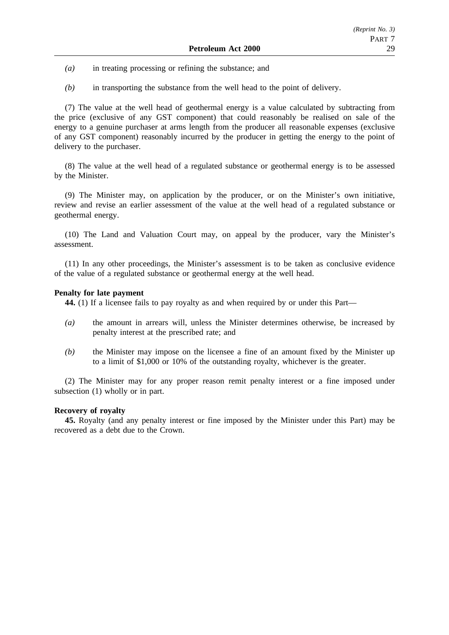- *(a)* in treating processing or refining the substance; and
- *(b)* in transporting the substance from the well head to the point of delivery.

(7) The value at the well head of geothermal energy is a value calculated by subtracting from the price (exclusive of any GST component) that could reasonably be realised on sale of the energy to a genuine purchaser at arms length from the producer all reasonable expenses (exclusive of any GST component) reasonably incurred by the producer in getting the energy to the point of delivery to the purchaser.

(8) The value at the well head of a regulated substance or geothermal energy is to be assessed by the Minister.

(9) The Minister may, on application by the producer, or on the Minister's own initiative, review and revise an earlier assessment of the value at the well head of a regulated substance or geothermal energy.

(10) The Land and Valuation Court may, on appeal by the producer, vary the Minister's assessment.

(11) In any other proceedings, the Minister's assessment is to be taken as conclusive evidence of the value of a regulated substance or geothermal energy at the well head.

### **Penalty for late payment**

**44.** (1) If a licensee fails to pay royalty as and when required by or under this Part—

- *(a)* the amount in arrears will, unless the Minister determines otherwise, be increased by penalty interest at the prescribed rate; and
- *(b)* the Minister may impose on the licensee a fine of an amount fixed by the Minister up to a limit of \$1,000 or 10% of the outstanding royalty, whichever is the greater.

(2) The Minister may for any proper reason remit penalty interest or a fine imposed under subsection (1) wholly or in part.

#### **Recovery of royalty**

**45.** Royalty (and any penalty interest or fine imposed by the Minister under this Part) may be recovered as a debt due to the Crown.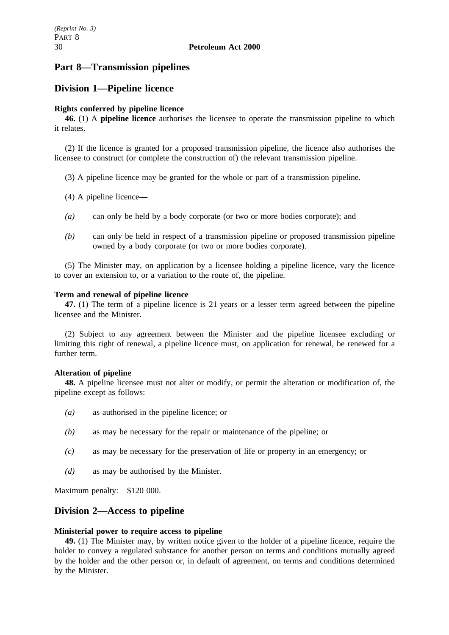# **Part 8—Transmission pipelines**

# **Division 1—Pipeline licence**

### **Rights conferred by pipeline licence**

**46.** (1) A **pipeline licence** authorises the licensee to operate the transmission pipeline to which it relates.

(2) If the licence is granted for a proposed transmission pipeline, the licence also authorises the licensee to construct (or complete the construction of) the relevant transmission pipeline.

(3) A pipeline licence may be granted for the whole or part of a transmission pipeline.

- (4) A pipeline licence—
- *(a)* can only be held by a body corporate (or two or more bodies corporate); and
- *(b)* can only be held in respect of a transmission pipeline or proposed transmission pipeline owned by a body corporate (or two or more bodies corporate).

(5) The Minister may, on application by a licensee holding a pipeline licence, vary the licence to cover an extension to, or a variation to the route of, the pipeline.

#### **Term and renewal of pipeline licence**

**47.** (1) The term of a pipeline licence is 21 years or a lesser term agreed between the pipeline licensee and the Minister.

(2) Subject to any agreement between the Minister and the pipeline licensee excluding or limiting this right of renewal, a pipeline licence must, on application for renewal, be renewed for a further term.

#### **Alteration of pipeline**

**48.** A pipeline licensee must not alter or modify, or permit the alteration or modification of, the pipeline except as follows:

- *(a)* as authorised in the pipeline licence; or
- *(b)* as may be necessary for the repair or maintenance of the pipeline; or
- *(c)* as may be necessary for the preservation of life or property in an emergency; or
- *(d)* as may be authorised by the Minister.

Maximum penalty: \$120 000.

# **Division 2—Access to pipeline**

#### **Ministerial power to require access to pipeline**

**49.** (1) The Minister may, by written notice given to the holder of a pipeline licence, require the holder to convey a regulated substance for another person on terms and conditions mutually agreed by the holder and the other person or, in default of agreement, on terms and conditions determined by the Minister.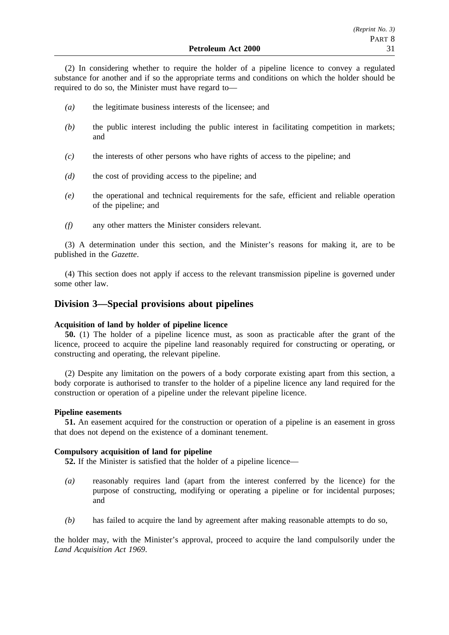(2) In considering whether to require the holder of a pipeline licence to convey a regulated substance for another and if so the appropriate terms and conditions on which the holder should be required to do so, the Minister must have regard to—

- *(a)* the legitimate business interests of the licensee; and
- *(b)* the public interest including the public interest in facilitating competition in markets; and
- *(c)* the interests of other persons who have rights of access to the pipeline; and
- *(d)* the cost of providing access to the pipeline; and
- *(e)* the operational and technical requirements for the safe, efficient and reliable operation of the pipeline; and
- *(f)* any other matters the Minister considers relevant.

(3) A determination under this section, and the Minister's reasons for making it, are to be published in the *Gazette*.

(4) This section does not apply if access to the relevant transmission pipeline is governed under some other law.

# **Division 3—Special provisions about pipelines**

#### **Acquisition of land by holder of pipeline licence**

**50.** (1) The holder of a pipeline licence must, as soon as practicable after the grant of the licence, proceed to acquire the pipeline land reasonably required for constructing or operating, or constructing and operating, the relevant pipeline.

(2) Despite any limitation on the powers of a body corporate existing apart from this section, a body corporate is authorised to transfer to the holder of a pipeline licence any land required for the construction or operation of a pipeline under the relevant pipeline licence.

#### **Pipeline easements**

**51.** An easement acquired for the construction or operation of a pipeline is an easement in gross that does not depend on the existence of a dominant tenement.

### **Compulsory acquisition of land for pipeline**

**52.** If the Minister is satisfied that the holder of a pipeline licence—

- *(a)* reasonably requires land (apart from the interest conferred by the licence) for the purpose of constructing, modifying or operating a pipeline or for incidental purposes; and
- *(b)* has failed to acquire the land by agreement after making reasonable attempts to do so,

the holder may, with the Minister's approval, proceed to acquire the land compulsorily under the *Land Acquisition Act 1969*.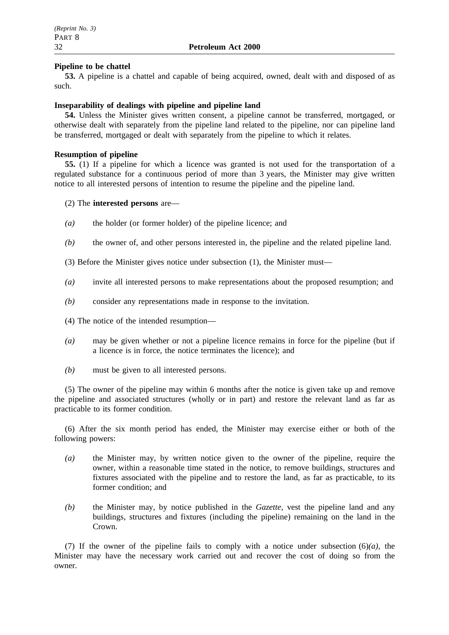### **Pipeline to be chattel**

**53.** A pipeline is a chattel and capable of being acquired, owned, dealt with and disposed of as such.

### **Inseparability of dealings with pipeline and pipeline land**

**54.** Unless the Minister gives written consent, a pipeline cannot be transferred, mortgaged, or otherwise dealt with separately from the pipeline land related to the pipeline, nor can pipeline land be transferred, mortgaged or dealt with separately from the pipeline to which it relates.

### **Resumption of pipeline**

**55.** (1) If a pipeline for which a licence was granted is not used for the transportation of a regulated substance for a continuous period of more than 3 years, the Minister may give written notice to all interested persons of intention to resume the pipeline and the pipeline land.

### (2) The **interested persons** are—

- *(a)* the holder (or former holder) of the pipeline licence; and
- *(b)* the owner of, and other persons interested in, the pipeline and the related pipeline land.
- (3) Before the Minister gives notice under subsection (1), the Minister must—
- *(a)* invite all interested persons to make representations about the proposed resumption; and
- *(b)* consider any representations made in response to the invitation.
- (4) The notice of the intended resumption—
- *(a)* may be given whether or not a pipeline licence remains in force for the pipeline (but if a licence is in force, the notice terminates the licence); and
- *(b)* must be given to all interested persons.

(5) The owner of the pipeline may within 6 months after the notice is given take up and remove the pipeline and associated structures (wholly or in part) and restore the relevant land as far as practicable to its former condition.

(6) After the six month period has ended, the Minister may exercise either or both of the following powers:

- *(a)* the Minister may, by written notice given to the owner of the pipeline, require the owner, within a reasonable time stated in the notice, to remove buildings, structures and fixtures associated with the pipeline and to restore the land, as far as practicable, to its former condition; and
- *(b)* the Minister may, by notice published in the *Gazette*, vest the pipeline land and any buildings, structures and fixtures (including the pipeline) remaining on the land in the Crown.

(7) If the owner of the pipeline fails to comply with a notice under subsection (6)*(a)*, the Minister may have the necessary work carried out and recover the cost of doing so from the owner.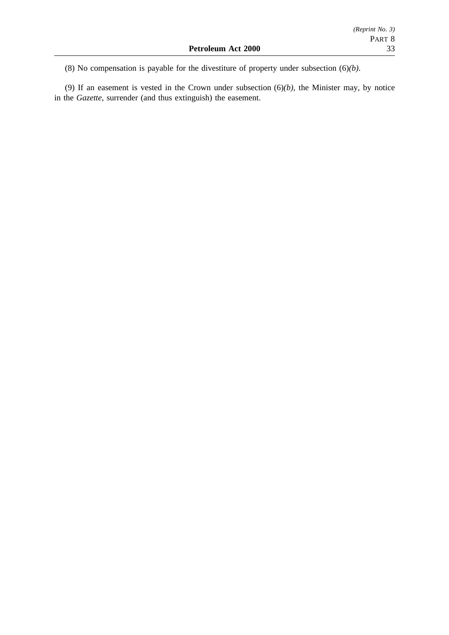(8) No compensation is payable for the divestiture of property under subsection (6)*(b)*.

(9) If an easement is vested in the Crown under subsection (6)*(b)*, the Minister may, by notice in the *Gazette*, surrender (and thus extinguish) the easement.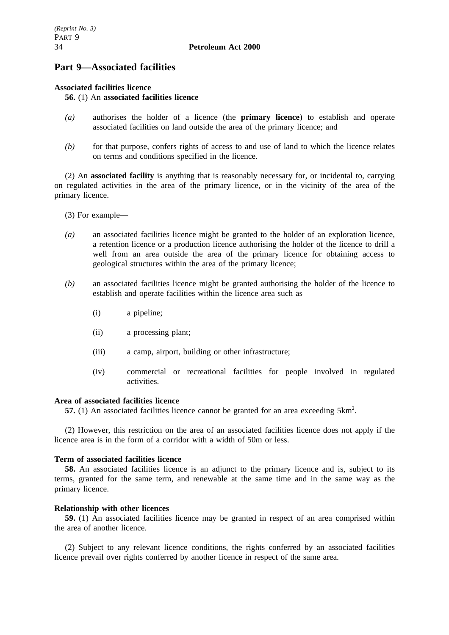# **Part 9—Associated facilities**

## **Associated facilities licence**

## **56.** (1) An **associated facilities licence**—

- *(a)* authorises the holder of a licence (the **primary licence**) to establish and operate associated facilities on land outside the area of the primary licence; and
- *(b)* for that purpose, confers rights of access to and use of land to which the licence relates on terms and conditions specified in the licence.

(2) An **associated facility** is anything that is reasonably necessary for, or incidental to, carrying on regulated activities in the area of the primary licence, or in the vicinity of the area of the primary licence.

- (3) For example—
- *(a)* an associated facilities licence might be granted to the holder of an exploration licence, a retention licence or a production licence authorising the holder of the licence to drill a well from an area outside the area of the primary licence for obtaining access to geological structures within the area of the primary licence;
- *(b)* an associated facilities licence might be granted authorising the holder of the licence to establish and operate facilities within the licence area such as—
	- (i) a pipeline;
	- (ii) a processing plant;
	- (iii) a camp, airport, building or other infrastructure;
	- (iv) commercial or recreational facilities for people involved in regulated activities.

## **Area of associated facilities licence**

57. (1) An associated facilities licence cannot be granted for an area exceeding 5km<sup>2</sup>.

(2) However, this restriction on the area of an associated facilities licence does not apply if the licence area is in the form of a corridor with a width of 50m or less.

### **Term of associated facilities licence**

**58.** An associated facilities licence is an adjunct to the primary licence and is, subject to its terms, granted for the same term, and renewable at the same time and in the same way as the primary licence.

### **Relationship with other licences**

**59.** (1) An associated facilities licence may be granted in respect of an area comprised within the area of another licence.

(2) Subject to any relevant licence conditions, the rights conferred by an associated facilities licence prevail over rights conferred by another licence in respect of the same area.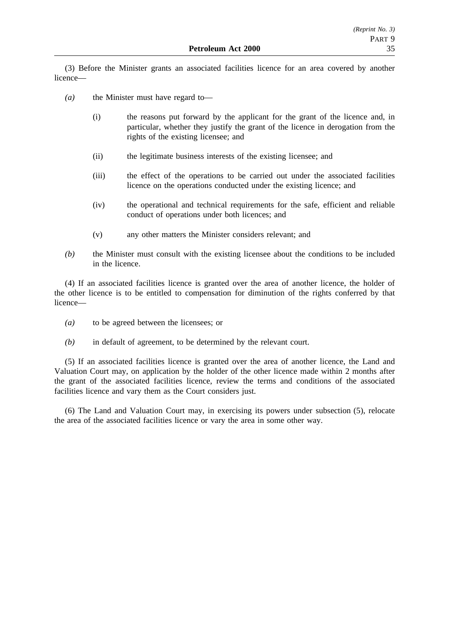(3) Before the Minister grants an associated facilities licence for an area covered by another licence—

- *(a)* the Minister must have regard to—
	- (i) the reasons put forward by the applicant for the grant of the licence and, in particular, whether they justify the grant of the licence in derogation from the rights of the existing licensee; and
	- (ii) the legitimate business interests of the existing licensee; and
	- (iii) the effect of the operations to be carried out under the associated facilities licence on the operations conducted under the existing licence; and
	- (iv) the operational and technical requirements for the safe, efficient and reliable conduct of operations under both licences; and
	- (v) any other matters the Minister considers relevant; and
- *(b)* the Minister must consult with the existing licensee about the conditions to be included in the licence.

(4) If an associated facilities licence is granted over the area of another licence, the holder of the other licence is to be entitled to compensation for diminution of the rights conferred by that licence—

- *(a)* to be agreed between the licensees; or
- *(b)* in default of agreement, to be determined by the relevant court.

(5) If an associated facilities licence is granted over the area of another licence, the Land and Valuation Court may, on application by the holder of the other licence made within 2 months after the grant of the associated facilities licence, review the terms and conditions of the associated facilities licence and vary them as the Court considers just.

(6) The Land and Valuation Court may, in exercising its powers under subsection (5), relocate the area of the associated facilities licence or vary the area in some other way.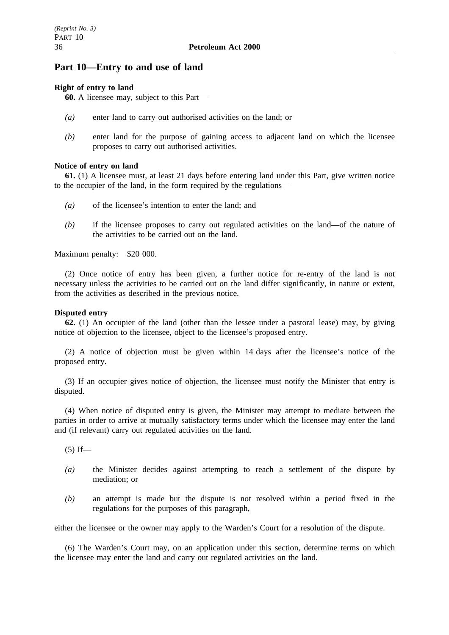# **Part 10—Entry to and use of land**

## **Right of entry to land**

**60.** A licensee may, subject to this Part—

- *(a)* enter land to carry out authorised activities on the land; or
- *(b)* enter land for the purpose of gaining access to adjacent land on which the licensee proposes to carry out authorised activities.

## **Notice of entry on land**

**61.** (1) A licensee must, at least 21 days before entering land under this Part, give written notice to the occupier of the land, in the form required by the regulations—

- *(a)* of the licensee's intention to enter the land; and
- *(b)* if the licensee proposes to carry out regulated activities on the land—of the nature of the activities to be carried out on the land.

Maximum penalty: \$20 000.

(2) Once notice of entry has been given, a further notice for re-entry of the land is not necessary unless the activities to be carried out on the land differ significantly, in nature or extent, from the activities as described in the previous notice.

### **Disputed entry**

**62.** (1) An occupier of the land (other than the lessee under a pastoral lease) may, by giving notice of objection to the licensee, object to the licensee's proposed entry.

(2) A notice of objection must be given within 14 days after the licensee's notice of the proposed entry.

(3) If an occupier gives notice of objection, the licensee must notify the Minister that entry is disputed.

(4) When notice of disputed entry is given, the Minister may attempt to mediate between the parties in order to arrive at mutually satisfactory terms under which the licensee may enter the land and (if relevant) carry out regulated activities on the land.

 $(5)$  If—

- *(a)* the Minister decides against attempting to reach a settlement of the dispute by mediation; or
- *(b)* an attempt is made but the dispute is not resolved within a period fixed in the regulations for the purposes of this paragraph,

either the licensee or the owner may apply to the Warden's Court for a resolution of the dispute.

(6) The Warden's Court may, on an application under this section, determine terms on which the licensee may enter the land and carry out regulated activities on the land.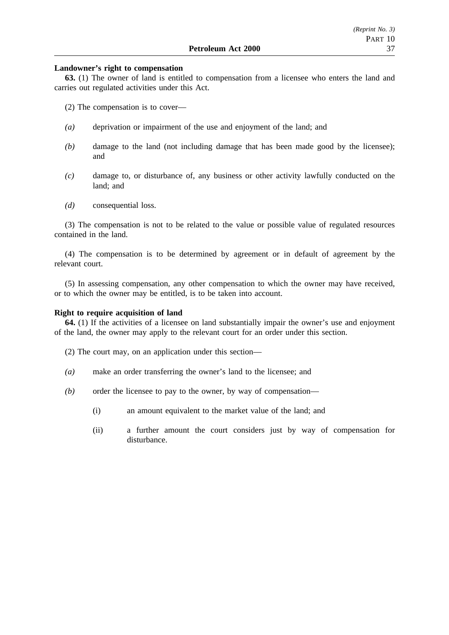#### **Landowner's right to compensation**

**63.** (1) The owner of land is entitled to compensation from a licensee who enters the land and carries out regulated activities under this Act.

(2) The compensation is to cover—

- *(a)* deprivation or impairment of the use and enjoyment of the land; and
- *(b)* damage to the land (not including damage that has been made good by the licensee); and
- *(c)* damage to, or disturbance of, any business or other activity lawfully conducted on the land; and
- *(d)* consequential loss.

(3) The compensation is not to be related to the value or possible value of regulated resources contained in the land.

(4) The compensation is to be determined by agreement or in default of agreement by the relevant court.

(5) In assessing compensation, any other compensation to which the owner may have received, or to which the owner may be entitled, is to be taken into account.

#### **Right to require acquisition of land**

**64.** (1) If the activities of a licensee on land substantially impair the owner's use and enjoyment of the land, the owner may apply to the relevant court for an order under this section.

(2) The court may, on an application under this section—

- *(a)* make an order transferring the owner's land to the licensee; and
- *(b)* order the licensee to pay to the owner, by way of compensation—
	- (i) an amount equivalent to the market value of the land; and
	- (ii) a further amount the court considers just by way of compensation for disturbance.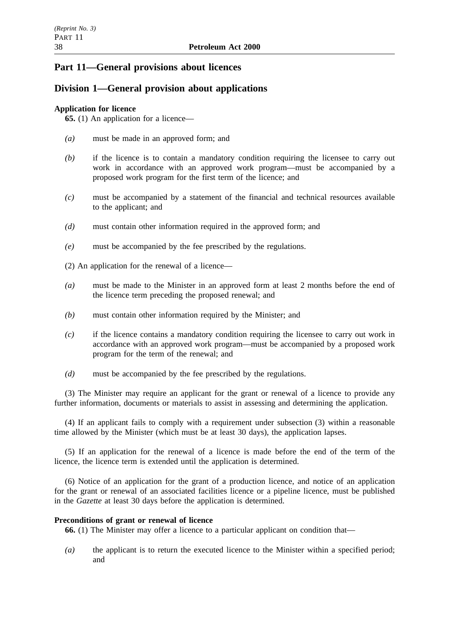# **Part 11—General provisions about licences**

# **Division 1—General provision about applications**

## **Application for licence**

**65.** (1) An application for a licence—

- *(a)* must be made in an approved form; and
- *(b)* if the licence is to contain a mandatory condition requiring the licensee to carry out work in accordance with an approved work program—must be accompanied by a proposed work program for the first term of the licence; and
- *(c)* must be accompanied by a statement of the financial and technical resources available to the applicant; and
- *(d)* must contain other information required in the approved form; and
- *(e)* must be accompanied by the fee prescribed by the regulations.
- (2) An application for the renewal of a licence—
- *(a)* must be made to the Minister in an approved form at least 2 months before the end of the licence term preceding the proposed renewal; and
- *(b)* must contain other information required by the Minister; and
- *(c)* if the licence contains a mandatory condition requiring the licensee to carry out work in accordance with an approved work program—must be accompanied by a proposed work program for the term of the renewal; and
- *(d)* must be accompanied by the fee prescribed by the regulations.

(3) The Minister may require an applicant for the grant or renewal of a licence to provide any further information, documents or materials to assist in assessing and determining the application.

(4) If an applicant fails to comply with a requirement under subsection (3) within a reasonable time allowed by the Minister (which must be at least 30 days), the application lapses.

(5) If an application for the renewal of a licence is made before the end of the term of the licence, the licence term is extended until the application is determined.

(6) Notice of an application for the grant of a production licence, and notice of an application for the grant or renewal of an associated facilities licence or a pipeline licence, must be published in the *Gazette* at least 30 days before the application is determined.

### **Preconditions of grant or renewal of licence**

**66.** (1) The Minister may offer a licence to a particular applicant on condition that—

*(a)* the applicant is to return the executed licence to the Minister within a specified period; and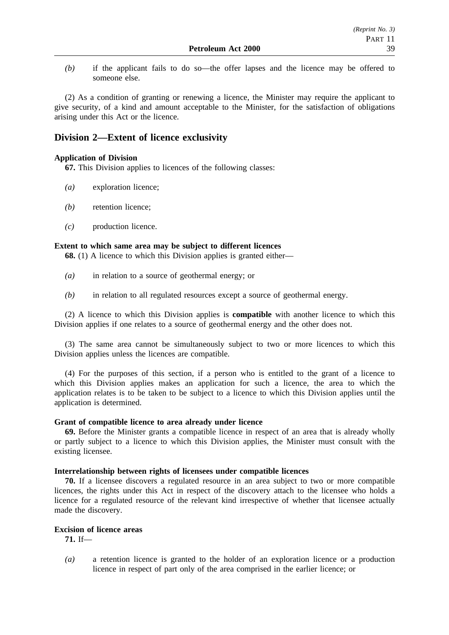*(b)* if the applicant fails to do so—the offer lapses and the licence may be offered to someone else.

(2) As a condition of granting or renewing a licence, the Minister may require the applicant to give security, of a kind and amount acceptable to the Minister, for the satisfaction of obligations arising under this Act or the licence.

# **Division 2—Extent of licence exclusivity**

### **Application of Division**

**67.** This Division applies to licences of the following classes:

- *(a)* exploration licence;
- *(b)* retention licence;
- *(c)* production licence.

#### **Extent to which same area may be subject to different licences**

**68.** (1) A licence to which this Division applies is granted either—

- *(a)* in relation to a source of geothermal energy; or
- *(b)* in relation to all regulated resources except a source of geothermal energy.

(2) A licence to which this Division applies is **compatible** with another licence to which this Division applies if one relates to a source of geothermal energy and the other does not.

(3) The same area cannot be simultaneously subject to two or more licences to which this Division applies unless the licences are compatible.

(4) For the purposes of this section, if a person who is entitled to the grant of a licence to which this Division applies makes an application for such a licence, the area to which the application relates is to be taken to be subject to a licence to which this Division applies until the application is determined.

#### **Grant of compatible licence to area already under licence**

**69.** Before the Minister grants a compatible licence in respect of an area that is already wholly or partly subject to a licence to which this Division applies, the Minister must consult with the existing licensee.

#### **Interrelationship between rights of licensees under compatible licences**

**70.** If a licensee discovers a regulated resource in an area subject to two or more compatible licences, the rights under this Act in respect of the discovery attach to the licensee who holds a licence for a regulated resource of the relevant kind irrespective of whether that licensee actually made the discovery.

## **Excision of licence areas**

**71.** If—

*(a)* a retention licence is granted to the holder of an exploration licence or a production licence in respect of part only of the area comprised in the earlier licence; or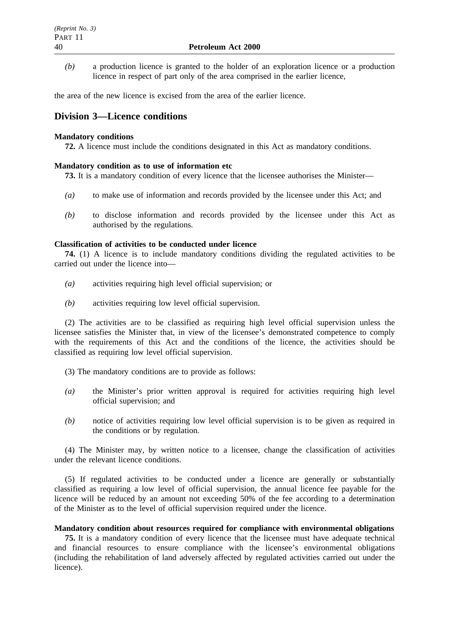*(b)* a production licence is granted to the holder of an exploration licence or a production licence in respect of part only of the area comprised in the earlier licence,

the area of the new licence is excised from the area of the earlier licence.

# **Division 3—Licence conditions**

### **Mandatory conditions**

**72.** A licence must include the conditions designated in this Act as mandatory conditions.

### **Mandatory condition as to use of information etc**

**73.** It is a mandatory condition of every licence that the licensee authorises the Minister—

- *(a)* to make use of information and records provided by the licensee under this Act; and
- *(b)* to disclose information and records provided by the licensee under this Act as authorised by the regulations.

### **Classification of activities to be conducted under licence**

**74.** (1) A licence is to include mandatory conditions dividing the regulated activities to be carried out under the licence into—

- *(a)* activities requiring high level official supervision; or
- *(b)* activities requiring low level official supervision.

(2) The activities are to be classified as requiring high level official supervision unless the licensee satisfies the Minister that, in view of the licensee's demonstrated competence to comply with the requirements of this Act and the conditions of the licence, the activities should be classified as requiring low level official supervision.

- (3) The mandatory conditions are to provide as follows:
- *(a)* the Minister's prior written approval is required for activities requiring high level official supervision; and
- *(b)* notice of activities requiring low level official supervision is to be given as required in the conditions or by regulation.

(4) The Minister may, by written notice to a licensee, change the classification of activities under the relevant licence conditions.

(5) If regulated activities to be conducted under a licence are generally or substantially classified as requiring a low level of official supervision, the annual licence fee payable for the licence will be reduced by an amount not exceeding 50% of the fee according to a determination of the Minister as to the level of official supervision required under the licence.

#### **Mandatory condition about resources required for compliance with environmental obligations**

**75.** It is a mandatory condition of every licence that the licensee must have adequate technical and financial resources to ensure compliance with the licensee's environmental obligations (including the rehabilitation of land adversely affected by regulated activities carried out under the licence).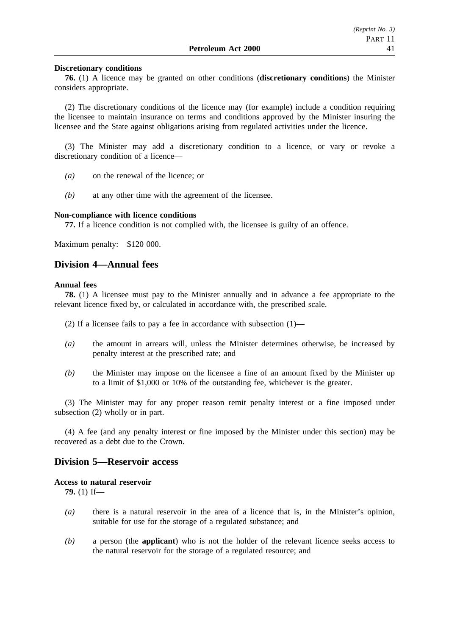#### **Discretionary conditions**

**76.** (1) A licence may be granted on other conditions (**discretionary conditions**) the Minister considers appropriate.

(2) The discretionary conditions of the licence may (for example) include a condition requiring the licensee to maintain insurance on terms and conditions approved by the Minister insuring the licensee and the State against obligations arising from regulated activities under the licence.

(3) The Minister may add a discretionary condition to a licence, or vary or revoke a discretionary condition of a licence—

- *(a)* on the renewal of the licence; or
- *(b)* at any other time with the agreement of the licensee.

#### **Non-compliance with licence conditions**

**77.** If a licence condition is not complied with, the licensee is guilty of an offence.

Maximum penalty: \$120 000.

# **Division 4—Annual fees**

#### **Annual fees**

**78.** (1) A licensee must pay to the Minister annually and in advance a fee appropriate to the relevant licence fixed by, or calculated in accordance with, the prescribed scale.

(2) If a licensee fails to pay a fee in accordance with subsection (1)—

- *(a)* the amount in arrears will, unless the Minister determines otherwise, be increased by penalty interest at the prescribed rate; and
- *(b)* the Minister may impose on the licensee a fine of an amount fixed by the Minister up to a limit of \$1,000 or 10% of the outstanding fee, whichever is the greater.

(3) The Minister may for any proper reason remit penalty interest or a fine imposed under subsection (2) wholly or in part.

(4) A fee (and any penalty interest or fine imposed by the Minister under this section) may be recovered as a debt due to the Crown.

### **Division 5—Reservoir access**

#### **Access to natural reservoir**

**79.** (1) If—

- *(a)* there is a natural reservoir in the area of a licence that is, in the Minister's opinion, suitable for use for the storage of a regulated substance; and
- *(b)* a person (the **applicant**) who is not the holder of the relevant licence seeks access to the natural reservoir for the storage of a regulated resource; and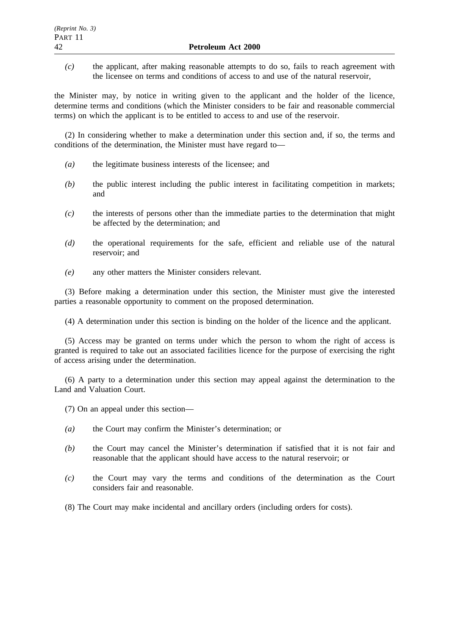*(c)* the applicant, after making reasonable attempts to do so, fails to reach agreement with the licensee on terms and conditions of access to and use of the natural reservoir,

the Minister may, by notice in writing given to the applicant and the holder of the licence, determine terms and conditions (which the Minister considers to be fair and reasonable commercial terms) on which the applicant is to be entitled to access to and use of the reservoir.

(2) In considering whether to make a determination under this section and, if so, the terms and conditions of the determination, the Minister must have regard to—

- *(a)* the legitimate business interests of the licensee; and
- *(b)* the public interest including the public interest in facilitating competition in markets; and
- *(c)* the interests of persons other than the immediate parties to the determination that might be affected by the determination; and
- *(d)* the operational requirements for the safe, efficient and reliable use of the natural reservoir; and
- *(e)* any other matters the Minister considers relevant.

(3) Before making a determination under this section, the Minister must give the interested parties a reasonable opportunity to comment on the proposed determination.

(4) A determination under this section is binding on the holder of the licence and the applicant.

(5) Access may be granted on terms under which the person to whom the right of access is granted is required to take out an associated facilities licence for the purpose of exercising the right of access arising under the determination.

(6) A party to a determination under this section may appeal against the determination to the Land and Valuation Court.

- (7) On an appeal under this section—
- *(a)* the Court may confirm the Minister's determination; or
- *(b)* the Court may cancel the Minister's determination if satisfied that it is not fair and reasonable that the applicant should have access to the natural reservoir; or
- *(c)* the Court may vary the terms and conditions of the determination as the Court considers fair and reasonable.
- (8) The Court may make incidental and ancillary orders (including orders for costs).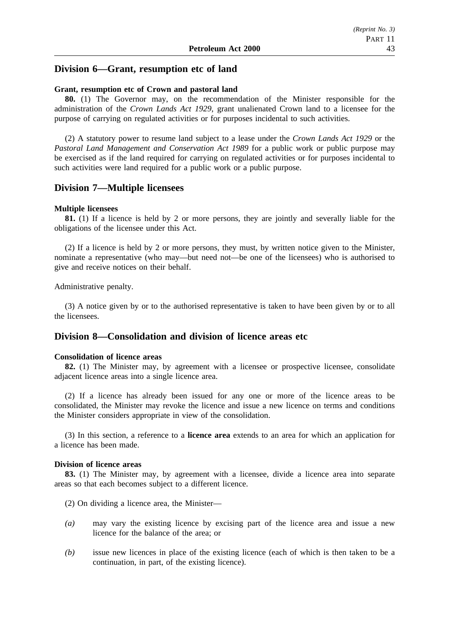# **Division 6—Grant, resumption etc of land**

#### **Grant, resumption etc of Crown and pastoral land**

**80.** (1) The Governor may, on the recommendation of the Minister responsible for the administration of the *Crown Lands Act 1929*, grant unalienated Crown land to a licensee for the purpose of carrying on regulated activities or for purposes incidental to such activities.

(2) A statutory power to resume land subject to a lease under the *Crown Lands Act 1929* or the *Pastoral Land Management and Conservation Act 1989* for a public work or public purpose may be exercised as if the land required for carrying on regulated activities or for purposes incidental to such activities were land required for a public work or a public purpose.

#### **Division 7—Multiple licensees**

#### **Multiple licensees**

**81.** (1) If a licence is held by 2 or more persons, they are jointly and severally liable for the obligations of the licensee under this Act.

(2) If a licence is held by 2 or more persons, they must, by written notice given to the Minister, nominate a representative (who may—but need not—be one of the licensees) who is authorised to give and receive notices on their behalf.

Administrative penalty.

(3) A notice given by or to the authorised representative is taken to have been given by or to all the licensees.

## **Division 8—Consolidation and division of licence areas etc**

#### **Consolidation of licence areas**

**82.** (1) The Minister may, by agreement with a licensee or prospective licensee, consolidate adjacent licence areas into a single licence area.

(2) If a licence has already been issued for any one or more of the licence areas to be consolidated, the Minister may revoke the licence and issue a new licence on terms and conditions the Minister considers appropriate in view of the consolidation.

(3) In this section, a reference to a **licence area** extends to an area for which an application for a licence has been made.

#### **Division of licence areas**

**83.** (1) The Minister may, by agreement with a licensee, divide a licence area into separate areas so that each becomes subject to a different licence.

(2) On dividing a licence area, the Minister—

- *(a)* may vary the existing licence by excising part of the licence area and issue a new licence for the balance of the area; or
- *(b)* issue new licences in place of the existing licence (each of which is then taken to be a continuation, in part, of the existing licence).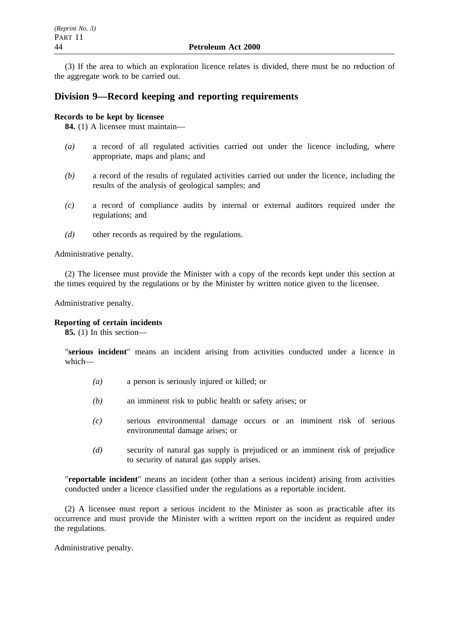(3) If the area to which an exploration licence relates is divided, there must be no reduction of the aggregate work to be carried out.

# **Division 9—Record keeping and reporting requirements**

### **Records to be kept by licensee**

**84.** (1) A licensee must maintain—

- *(a)* a record of all regulated activities carried out under the licence including, where appropriate, maps and plans; and
- *(b)* a record of the results of regulated activities carried out under the licence, including the results of the analysis of geological samples; and
- *(c)* a record of compliance audits by internal or external auditors required under the regulations; and
- *(d)* other records as required by the regulations.

Administrative penalty.

(2) The licensee must provide the Minister with a copy of the records kept under this section at the times required by the regulations or by the Minister by written notice given to the licensee.

Administrative penalty.

#### **Reporting of certain incidents**

**85.** (1) In this section—

"**serious incident**" means an incident arising from activities conducted under a licence in which—

- *(a)* a person is seriously injured or killed; or
- *(b)* an imminent risk to public health or safety arises; or
- *(c)* serious environmental damage occurs or an imminent risk of serious environmental damage arises; or
- *(d)* security of natural gas supply is prejudiced or an imminent risk of prejudice to security of natural gas supply arises.

"**reportable incident**" means an incident (other than a serious incident) arising from activities conducted under a licence classified under the regulations as a reportable incident.

(2) A licensee must report a serious incident to the Minister as soon as practicable after its occurrence and must provide the Minister with a written report on the incident as required under the regulations.

Administrative penalty.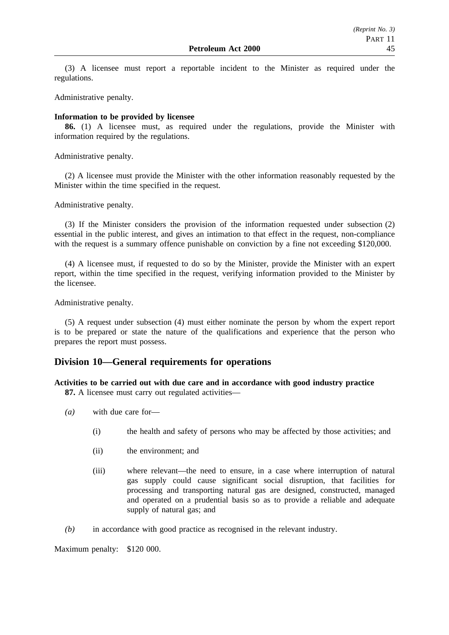(3) A licensee must report a reportable incident to the Minister as required under the regulations.

Administrative penalty.

### **Information to be provided by licensee**

**86.** (1) A licensee must, as required under the regulations, provide the Minister with information required by the regulations.

Administrative penalty.

(2) A licensee must provide the Minister with the other information reasonably requested by the Minister within the time specified in the request.

Administrative penalty.

(3) If the Minister considers the provision of the information requested under subsection (2) essential in the public interest, and gives an intimation to that effect in the request, non-compliance with the request is a summary offence punishable on conviction by a fine not exceeding \$120,000.

(4) A licensee must, if requested to do so by the Minister, provide the Minister with an expert report, within the time specified in the request, verifying information provided to the Minister by the licensee.

Administrative penalty.

(5) A request under subsection (4) must either nominate the person by whom the expert report is to be prepared or state the nature of the qualifications and experience that the person who prepares the report must possess.

# **Division 10—General requirements for operations**

# **Activities to be carried out with due care and in accordance with good industry practice**

**87.** A licensee must carry out regulated activities—

- *(a)* with due care for—
	- (i) the health and safety of persons who may be affected by those activities; and
	- (ii) the environment; and
	- (iii) where relevant—the need to ensure, in a case where interruption of natural gas supply could cause significant social disruption, that facilities for processing and transporting natural gas are designed, constructed, managed and operated on a prudential basis so as to provide a reliable and adequate supply of natural gas; and
- *(b)* in accordance with good practice as recognised in the relevant industry.

Maximum penalty: \$120 000.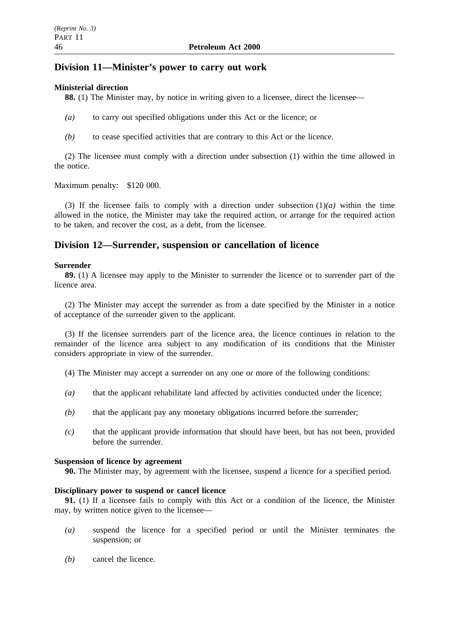# **Division 11—Minister's power to carry out work**

### **Ministerial direction**

**88.** (1) The Minister may, by notice in writing given to a licensee, direct the licensee—

- *(a)* to carry out specified obligations under this Act or the licence; or
- *(b)* to cease specified activities that are contrary to this Act or the licence.

(2) The licensee must comply with a direction under subsection (1) within the time allowed in the notice.

Maximum penalty: \$120 000.

(3) If the licensee fails to comply with a direction under subsection  $(1)(a)$  within the time allowed in the notice, the Minister may take the required action, or arrange for the required action to be taken, and recover the cost, as a debt, from the licensee.

# **Division 12—Surrender, suspension or cancellation of licence**

### **Surrender**

**89.** (1) A licensee may apply to the Minister to surrender the licence or to surrender part of the licence area.

(2) The Minister may accept the surrender as from a date specified by the Minister in a notice of acceptance of the surrender given to the applicant.

(3) If the licensee surrenders part of the licence area, the licence continues in relation to the remainder of the licence area subject to any modification of its conditions that the Minister considers appropriate in view of the surrender.

- (4) The Minister may accept a surrender on any one or more of the following conditions:
- *(a)* that the applicant rehabilitate land affected by activities conducted under the licence;
- *(b)* that the applicant pay any monetary obligations incurred before the surrender;
- *(c)* that the applicant provide information that should have been, but has not been, provided before the surrender.

#### **Suspension of licence by agreement**

**90.** The Minister may, by agreement with the licensee, suspend a licence for a specified period.

#### **Disciplinary power to suspend or cancel licence**

**91.** (1) If a licensee fails to comply with this Act or a condition of the licence, the Minister may, by written notice given to the licensee—

- *(a)* suspend the licence for a specified period or until the Minister terminates the suspension; or
- *(b)* cancel the licence.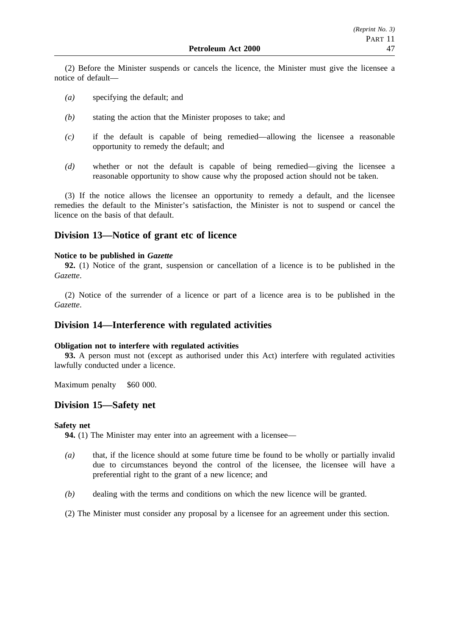(2) Before the Minister suspends or cancels the licence, the Minister must give the licensee a notice of default—

- *(a)* specifying the default; and
- *(b)* stating the action that the Minister proposes to take; and
- *(c)* if the default is capable of being remedied—allowing the licensee a reasonable opportunity to remedy the default; and
- *(d)* whether or not the default is capable of being remedied—giving the licensee a reasonable opportunity to show cause why the proposed action should not be taken.

(3) If the notice allows the licensee an opportunity to remedy a default, and the licensee remedies the default to the Minister's satisfaction, the Minister is not to suspend or cancel the licence on the basis of that default.

# **Division 13—Notice of grant etc of licence**

### **Notice to be published in** *Gazette*

**92.** (1) Notice of the grant, suspension or cancellation of a licence is to be published in the *Gazette*.

(2) Notice of the surrender of a licence or part of a licence area is to be published in the *Gazette*.

# **Division 14—Interference with regulated activities**

### **Obligation not to interfere with regulated activities**

**93.** A person must not (except as authorised under this Act) interfere with regulated activities lawfully conducted under a licence.

Maximum penalty \$60 000.

# **Division 15—Safety net**

#### **Safety net**

**94.** (1) The Minister may enter into an agreement with a licensee—

- *(a)* that, if the licence should at some future time be found to be wholly or partially invalid due to circumstances beyond the control of the licensee, the licensee will have a preferential right to the grant of a new licence; and
- *(b)* dealing with the terms and conditions on which the new licence will be granted.

(2) The Minister must consider any proposal by a licensee for an agreement under this section.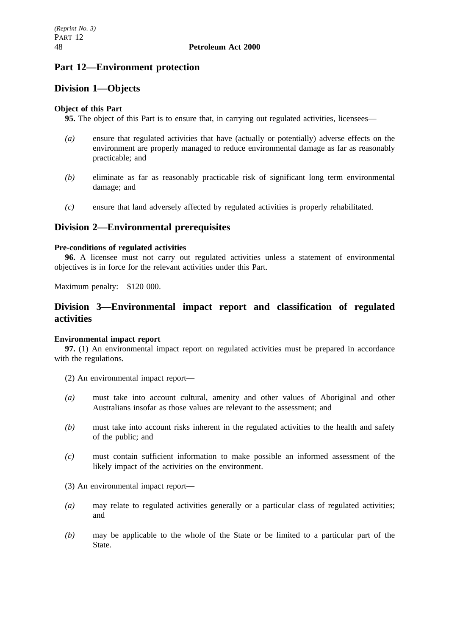# **Part 12—Environment protection**

# **Division 1—Objects**

## **Object of this Part**

**95.** The object of this Part is to ensure that, in carrying out regulated activities, licensees—

- *(a)* ensure that regulated activities that have (actually or potentially) adverse effects on the environment are properly managed to reduce environmental damage as far as reasonably practicable; and
- *(b)* eliminate as far as reasonably practicable risk of significant long term environmental damage; and
- *(c)* ensure that land adversely affected by regulated activities is properly rehabilitated.

# **Division 2—Environmental prerequisites**

### **Pre-conditions of regulated activities**

**96.** A licensee must not carry out regulated activities unless a statement of environmental objectives is in force for the relevant activities under this Part.

Maximum penalty: \$120 000.

# **Division 3—Environmental impact report and classification of regulated activities**

### **Environmental impact report**

**97.** (1) An environmental impact report on regulated activities must be prepared in accordance with the regulations.

- (2) An environmental impact report—
- *(a)* must take into account cultural, amenity and other values of Aboriginal and other Australians insofar as those values are relevant to the assessment; and
- *(b)* must take into account risks inherent in the regulated activities to the health and safety of the public; and
- *(c)* must contain sufficient information to make possible an informed assessment of the likely impact of the activities on the environment.
- (3) An environmental impact report—
- *(a)* may relate to regulated activities generally or a particular class of regulated activities; and
- *(b)* may be applicable to the whole of the State or be limited to a particular part of the State.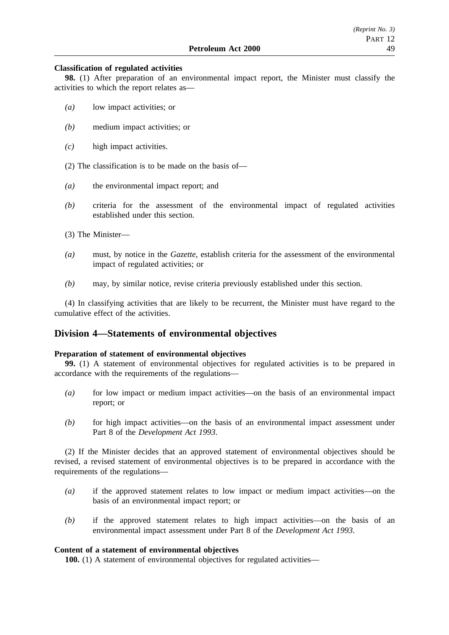#### **Classification of regulated activities**

**98.** (1) After preparation of an environmental impact report, the Minister must classify the activities to which the report relates as—

- *(a)* low impact activities; or
- *(b)* medium impact activities; or
- *(c)* high impact activities.
- (2) The classification is to be made on the basis of—
- *(a)* the environmental impact report; and
- *(b)* criteria for the assessment of the environmental impact of regulated activities established under this section.
- (3) The Minister—
- *(a)* must, by notice in the *Gazette*, establish criteria for the assessment of the environmental impact of regulated activities; or
- *(b)* may, by similar notice, revise criteria previously established under this section.

(4) In classifying activities that are likely to be recurrent, the Minister must have regard to the cumulative effect of the activities.

# **Division 4—Statements of environmental objectives**

#### **Preparation of statement of environmental objectives**

**99.** (1) A statement of environmental objectives for regulated activities is to be prepared in accordance with the requirements of the regulations—

- *(a)* for low impact or medium impact activities—on the basis of an environmental impact report; or
- *(b)* for high impact activities—on the basis of an environmental impact assessment under Part 8 of the *Development Act 1993*.

(2) If the Minister decides that an approved statement of environmental objectives should be revised, a revised statement of environmental objectives is to be prepared in accordance with the requirements of the regulations—

- *(a)* if the approved statement relates to low impact or medium impact activities—on the basis of an environmental impact report; or
- *(b)* if the approved statement relates to high impact activities—on the basis of an environmental impact assessment under Part 8 of the *Development Act 1993*.

#### **Content of a statement of environmental objectives**

**100.** (1) A statement of environmental objectives for regulated activities—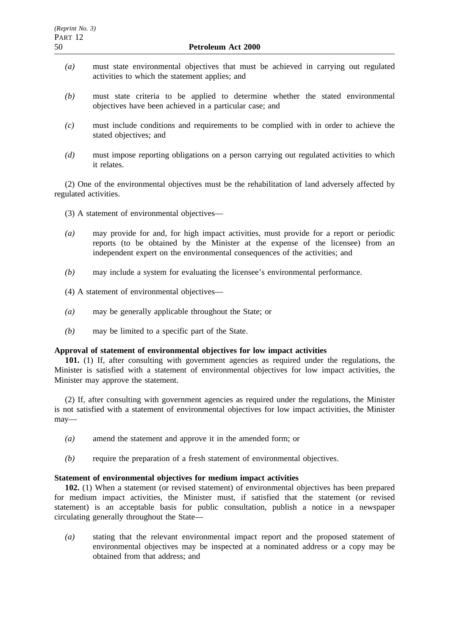- *(a)* must state environmental objectives that must be achieved in carrying out regulated activities to which the statement applies; and
- *(b)* must state criteria to be applied to determine whether the stated environmental objectives have been achieved in a particular case; and
- *(c)* must include conditions and requirements to be complied with in order to achieve the stated objectives; and
- *(d)* must impose reporting obligations on a person carrying out regulated activities to which it relates.

(2) One of the environmental objectives must be the rehabilitation of land adversely affected by regulated activities.

- (3) A statement of environmental objectives—
- *(a)* may provide for and, for high impact activities, must provide for a report or periodic reports (to be obtained by the Minister at the expense of the licensee) from an independent expert on the environmental consequences of the activities; and
- *(b)* may include a system for evaluating the licensee's environmental performance.
- (4) A statement of environmental objectives—
- *(a)* may be generally applicable throughout the State; or
- *(b)* may be limited to a specific part of the State.

### **Approval of statement of environmental objectives for low impact activities**

**101.** (1) If, after consulting with government agencies as required under the regulations, the Minister is satisfied with a statement of environmental objectives for low impact activities, the Minister may approve the statement.

(2) If, after consulting with government agencies as required under the regulations, the Minister is not satisfied with a statement of environmental objectives for low impact activities, the Minister may—

- *(a)* amend the statement and approve it in the amended form; or
- *(b)* require the preparation of a fresh statement of environmental objectives.

#### **Statement of environmental objectives for medium impact activities**

**102.** (1) When a statement (or revised statement) of environmental objectives has been prepared for medium impact activities, the Minister must, if satisfied that the statement (or revised statement) is an acceptable basis for public consultation, publish a notice in a newspaper circulating generally throughout the State—

*(a)* stating that the relevant environmental impact report and the proposed statement of environmental objectives may be inspected at a nominated address or a copy may be obtained from that address; and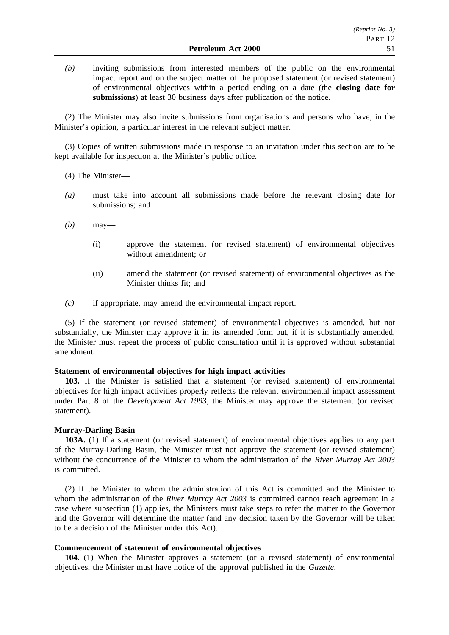*(b)* inviting submissions from interested members of the public on the environmental impact report and on the subject matter of the proposed statement (or revised statement) of environmental objectives within a period ending on a date (the **closing date for submissions**) at least 30 business days after publication of the notice.

(2) The Minister may also invite submissions from organisations and persons who have, in the Minister's opinion, a particular interest in the relevant subject matter.

(3) Copies of written submissions made in response to an invitation under this section are to be kept available for inspection at the Minister's public office.

(4) The Minister—

- *(a)* must take into account all submissions made before the relevant closing date for submissions; and
- *(b)* may—
	- (i) approve the statement (or revised statement) of environmental objectives without amendment; or
	- (ii) amend the statement (or revised statement) of environmental objectives as the Minister thinks fit; and
- *(c)* if appropriate, may amend the environmental impact report.

(5) If the statement (or revised statement) of environmental objectives is amended, but not substantially, the Minister may approve it in its amended form but, if it is substantially amended, the Minister must repeat the process of public consultation until it is approved without substantial amendment.

#### **Statement of environmental objectives for high impact activities**

**103.** If the Minister is satisfied that a statement (or revised statement) of environmental objectives for high impact activities properly reflects the relevant environmental impact assessment under Part 8 of the *Development Act 1993*, the Minister may approve the statement (or revised statement).

#### **Murray-Darling Basin**

**103A.** (1) If a statement (or revised statement) of environmental objectives applies to any part of the Murray-Darling Basin, the Minister must not approve the statement (or revised statement) without the concurrence of the Minister to whom the administration of the *River Murray Act 2003* is committed.

(2) If the Minister to whom the administration of this Act is committed and the Minister to whom the administration of the *River Murray Act 2003* is committed cannot reach agreement in a case where subsection (1) applies, the Ministers must take steps to refer the matter to the Governor and the Governor will determine the matter (and any decision taken by the Governor will be taken to be a decision of the Minister under this Act).

#### **Commencement of statement of environmental objectives**

**104.** (1) When the Minister approves a statement (or a revised statement) of environmental objectives, the Minister must have notice of the approval published in the *Gazette*.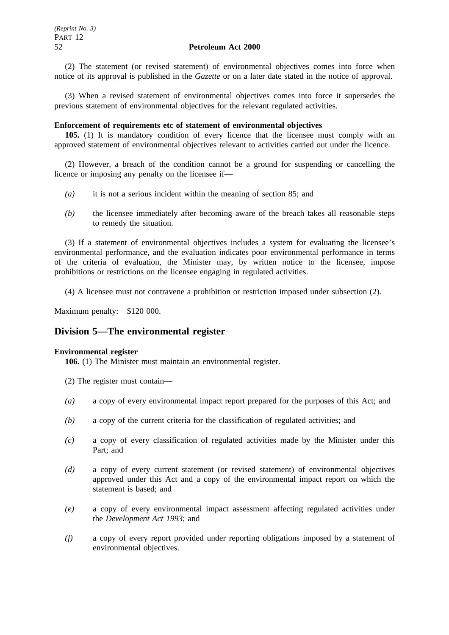(2) The statement (or revised statement) of environmental objectives comes into force when notice of its approval is published in the *Gazette* or on a later date stated in the notice of approval.

(3) When a revised statement of environmental objectives comes into force it supersedes the previous statement of environmental objectives for the relevant regulated activities.

### **Enforcement of requirements etc of statement of environmental objectives**

**105.** (1) It is mandatory condition of every licence that the licensee must comply with an approved statement of environmental objectives relevant to activities carried out under the licence.

(2) However, a breach of the condition cannot be a ground for suspending or cancelling the licence or imposing any penalty on the licensee if—

- *(a)* it is not a serious incident within the meaning of section 85; and
- *(b)* the licensee immediately after becoming aware of the breach takes all reasonable steps to remedy the situation.

(3) If a statement of environmental objectives includes a system for evaluating the licensee's environmental performance, and the evaluation indicates poor environmental performance in terms of the criteria of evaluation, the Minister may, by written notice to the licensee, impose prohibitions or restrictions on the licensee engaging in regulated activities.

(4) A licensee must not contravene a prohibition or restriction imposed under subsection (2).

Maximum penalty: \$120 000.

# **Division 5—The environmental register**

### **Environmental register**

**106.** (1) The Minister must maintain an environmental register.

- (2) The register must contain—
- *(a)* a copy of every environmental impact report prepared for the purposes of this Act; and
- *(b)* a copy of the current criteria for the classification of regulated activities; and
- *(c)* a copy of every classification of regulated activities made by the Minister under this Part; and
- *(d)* a copy of every current statement (or revised statement) of environmental objectives approved under this Act and a copy of the environmental impact report on which the statement is based; and
- *(e)* a copy of every environmental impact assessment affecting regulated activities under the *Development Act 1993*; and
- *(f)* a copy of every report provided under reporting obligations imposed by a statement of environmental objectives.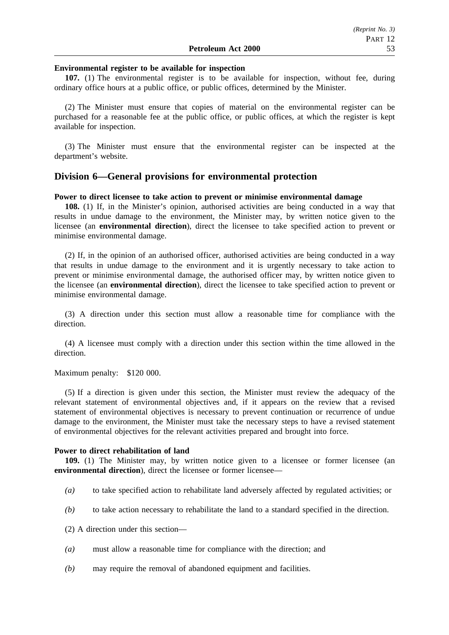#### **Environmental register to be available for inspection**

**107.** (1) The environmental register is to be available for inspection, without fee, during ordinary office hours at a public office, or public offices, determined by the Minister.

(2) The Minister must ensure that copies of material on the environmental register can be purchased for a reasonable fee at the public office, or public offices, at which the register is kept available for inspection.

(3) The Minister must ensure that the environmental register can be inspected at the department's website.

## **Division 6—General provisions for environmental protection**

#### **Power to direct licensee to take action to prevent or minimise environmental damage**

**108.** (1) If, in the Minister's opinion, authorised activities are being conducted in a way that results in undue damage to the environment, the Minister may, by written notice given to the licensee (an **environmental direction**), direct the licensee to take specified action to prevent or minimise environmental damage.

(2) If, in the opinion of an authorised officer, authorised activities are being conducted in a way that results in undue damage to the environment and it is urgently necessary to take action to prevent or minimise environmental damage, the authorised officer may, by written notice given to the licensee (an **environmental direction**), direct the licensee to take specified action to prevent or minimise environmental damage.

(3) A direction under this section must allow a reasonable time for compliance with the direction.

(4) A licensee must comply with a direction under this section within the time allowed in the direction.

Maximum penalty: \$120 000.

(5) If a direction is given under this section, the Minister must review the adequacy of the relevant statement of environmental objectives and, if it appears on the review that a revised statement of environmental objectives is necessary to prevent continuation or recurrence of undue damage to the environment, the Minister must take the necessary steps to have a revised statement of environmental objectives for the relevant activities prepared and brought into force.

#### **Power to direct rehabilitation of land**

**109.** (1) The Minister may, by written notice given to a licensee or former licensee (an **environmental direction**), direct the licensee or former licensee—

- *(a)* to take specified action to rehabilitate land adversely affected by regulated activities; or
- *(b)* to take action necessary to rehabilitate the land to a standard specified in the direction.
- (2) A direction under this section—
- *(a)* must allow a reasonable time for compliance with the direction; and
- *(b)* may require the removal of abandoned equipment and facilities.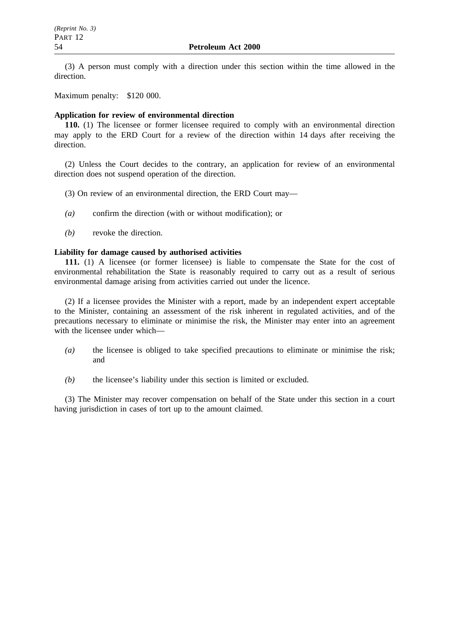(3) A person must comply with a direction under this section within the time allowed in the direction.

Maximum penalty: \$120 000.

#### **Application for review of environmental direction**

**110.** (1) The licensee or former licensee required to comply with an environmental direction may apply to the ERD Court for a review of the direction within 14 days after receiving the direction.

(2) Unless the Court decides to the contrary, an application for review of an environmental direction does not suspend operation of the direction.

- (3) On review of an environmental direction, the ERD Court may—
- *(a)* confirm the direction (with or without modification); or
- *(b)* revoke the direction.

#### **Liability for damage caused by authorised activities**

**111.** (1) A licensee (or former licensee) is liable to compensate the State for the cost of environmental rehabilitation the State is reasonably required to carry out as a result of serious environmental damage arising from activities carried out under the licence.

(2) If a licensee provides the Minister with a report, made by an independent expert acceptable to the Minister, containing an assessment of the risk inherent in regulated activities, and of the precautions necessary to eliminate or minimise the risk, the Minister may enter into an agreement with the licensee under which—

- *(a)* the licensee is obliged to take specified precautions to eliminate or minimise the risk; and
- *(b)* the licensee's liability under this section is limited or excluded.

(3) The Minister may recover compensation on behalf of the State under this section in a court having jurisdiction in cases of tort up to the amount claimed.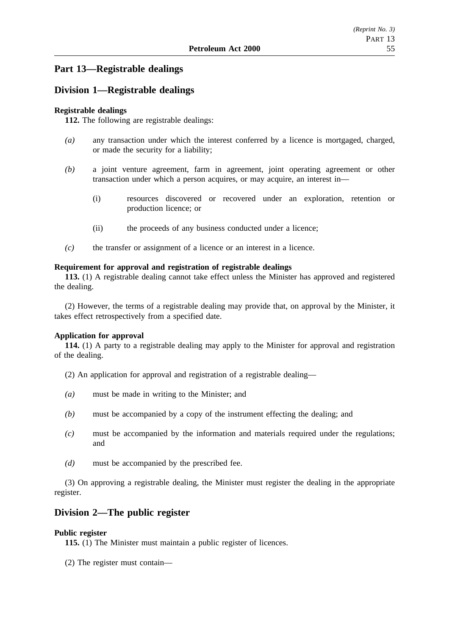# **Part 13—Registrable dealings**

# **Division 1—Registrable dealings**

## **Registrable dealings**

**112.** The following are registrable dealings:

- *(a)* any transaction under which the interest conferred by a licence is mortgaged, charged, or made the security for a liability;
- *(b)* a joint venture agreement, farm in agreement, joint operating agreement or other transaction under which a person acquires, or may acquire, an interest in—
	- (i) resources discovered or recovered under an exploration, retention or production licence; or
	- (ii) the proceeds of any business conducted under a licence;
- *(c)* the transfer or assignment of a licence or an interest in a licence.

### **Requirement for approval and registration of registrable dealings**

**113.** (1) A registrable dealing cannot take effect unless the Minister has approved and registered the dealing.

(2) However, the terms of a registrable dealing may provide that, on approval by the Minister, it takes effect retrospectively from a specified date.

### **Application for approval**

**114.** (1) A party to a registrable dealing may apply to the Minister for approval and registration of the dealing.

- (2) An application for approval and registration of a registrable dealing—
- *(a)* must be made in writing to the Minister; and
- *(b)* must be accompanied by a copy of the instrument effecting the dealing; and
- *(c)* must be accompanied by the information and materials required under the regulations; and
- *(d)* must be accompanied by the prescribed fee.

(3) On approving a registrable dealing, the Minister must register the dealing in the appropriate register.

# **Division 2—The public register**

### **Public register**

**115.** (1) The Minister must maintain a public register of licences.

(2) The register must contain—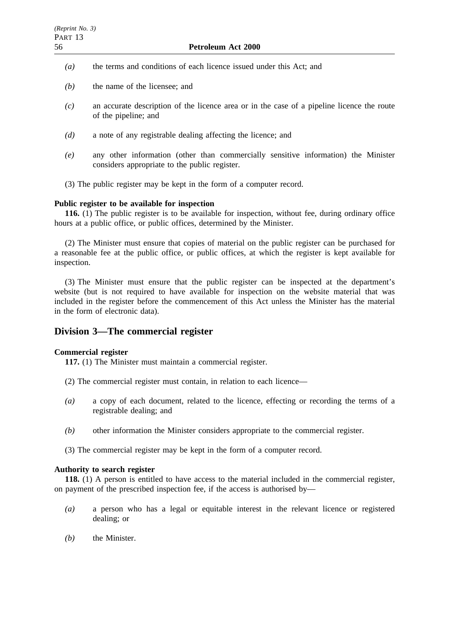- *(a)* the terms and conditions of each licence issued under this Act; and
- *(b)* the name of the licensee; and
- *(c)* an accurate description of the licence area or in the case of a pipeline licence the route of the pipeline; and
- *(d)* a note of any registrable dealing affecting the licence; and
- *(e)* any other information (other than commercially sensitive information) the Minister considers appropriate to the public register.
- (3) The public register may be kept in the form of a computer record.

#### **Public register to be available for inspection**

**116.** (1) The public register is to be available for inspection, without fee, during ordinary office hours at a public office, or public offices, determined by the Minister.

(2) The Minister must ensure that copies of material on the public register can be purchased for a reasonable fee at the public office, or public offices, at which the register is kept available for inspection.

(3) The Minister must ensure that the public register can be inspected at the department's website (but is not required to have available for inspection on the website material that was included in the register before the commencement of this Act unless the Minister has the material in the form of electronic data).

# **Division 3—The commercial register**

### **Commercial register**

**117.** (1) The Minister must maintain a commercial register.

- (2) The commercial register must contain, in relation to each licence—
- *(a)* a copy of each document, related to the licence, effecting or recording the terms of a registrable dealing; and
- *(b)* other information the Minister considers appropriate to the commercial register.
- (3) The commercial register may be kept in the form of a computer record.

#### **Authority to search register**

**118.** (1) A person is entitled to have access to the material included in the commercial register, on payment of the prescribed inspection fee, if the access is authorised by—

- *(a)* a person who has a legal or equitable interest in the relevant licence or registered dealing; or
- *(b)* the Minister.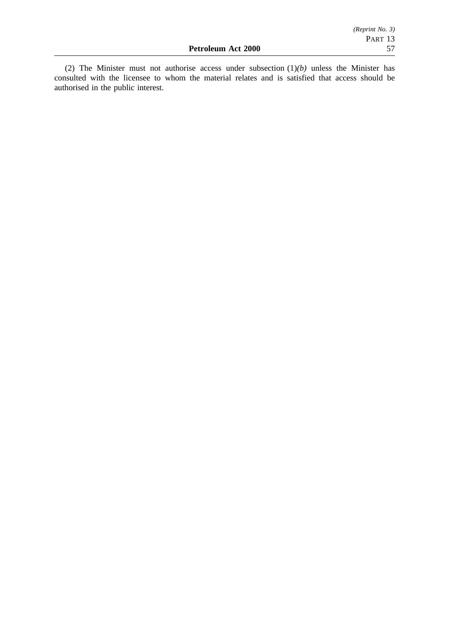(2) The Minister must not authorise access under subsection (1)*(b)* unless the Minister has consulted with the licensee to whom the material relates and is satisfied that access should be authorised in the public interest.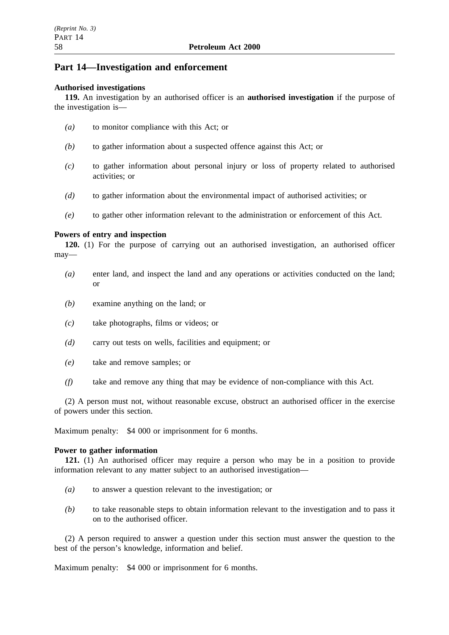# **Part 14—Investigation and enforcement**

#### **Authorised investigations**

**119.** An investigation by an authorised officer is an **authorised investigation** if the purpose of the investigation is—

- *(a)* to monitor compliance with this Act; or
- *(b)* to gather information about a suspected offence against this Act; or
- *(c)* to gather information about personal injury or loss of property related to authorised activities; or
- *(d)* to gather information about the environmental impact of authorised activities; or
- *(e)* to gather other information relevant to the administration or enforcement of this Act.

### **Powers of entry and inspection**

**120.** (1) For the purpose of carrying out an authorised investigation, an authorised officer may—

- *(a)* enter land, and inspect the land and any operations or activities conducted on the land; or
- *(b)* examine anything on the land; or
- *(c)* take photographs, films or videos; or
- *(d)* carry out tests on wells, facilities and equipment; or
- *(e)* take and remove samples; or
- *(f)* take and remove any thing that may be evidence of non-compliance with this Act.

(2) A person must not, without reasonable excuse, obstruct an authorised officer in the exercise of powers under this section.

Maximum penalty: \$4 000 or imprisonment for 6 months.

### **Power to gather information**

**121.** (1) An authorised officer may require a person who may be in a position to provide information relevant to any matter subject to an authorised investigation—

- *(a)* to answer a question relevant to the investigation; or
- *(b)* to take reasonable steps to obtain information relevant to the investigation and to pass it on to the authorised officer.

(2) A person required to answer a question under this section must answer the question to the best of the person's knowledge, information and belief.

Maximum penalty: \$4 000 or imprisonment for 6 months.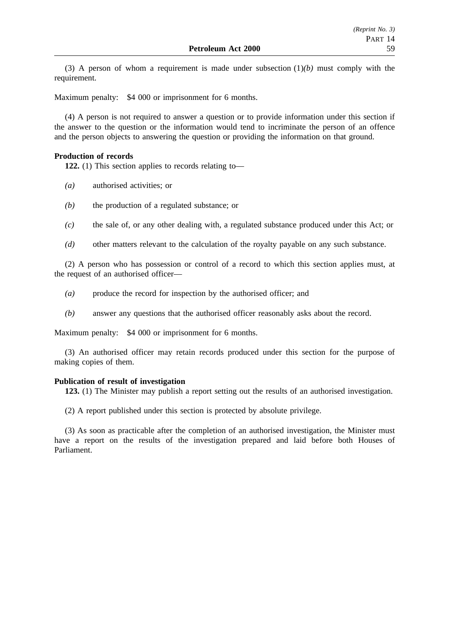(3) A person of whom a requirement is made under subsection  $(1)(b)$  must comply with the requirement.

Maximum penalty: \$4 000 or imprisonment for 6 months.

(4) A person is not required to answer a question or to provide information under this section if the answer to the question or the information would tend to incriminate the person of an offence and the person objects to answering the question or providing the information on that ground.

#### **Production of records**

**122.** (1) This section applies to records relating to—

- *(a)* authorised activities; or
- *(b)* the production of a regulated substance; or
- *(c)* the sale of, or any other dealing with, a regulated substance produced under this Act; or
- *(d)* other matters relevant to the calculation of the royalty payable on any such substance.

(2) A person who has possession or control of a record to which this section applies must, at the request of an authorised officer—

- *(a)* produce the record for inspection by the authorised officer; and
- *(b)* answer any questions that the authorised officer reasonably asks about the record.

Maximum penalty: \$4 000 or imprisonment for 6 months.

(3) An authorised officer may retain records produced under this section for the purpose of making copies of them.

#### **Publication of result of investigation**

**123.** (1) The Minister may publish a report setting out the results of an authorised investigation.

(2) A report published under this section is protected by absolute privilege.

(3) As soon as practicable after the completion of an authorised investigation, the Minister must have a report on the results of the investigation prepared and laid before both Houses of Parliament.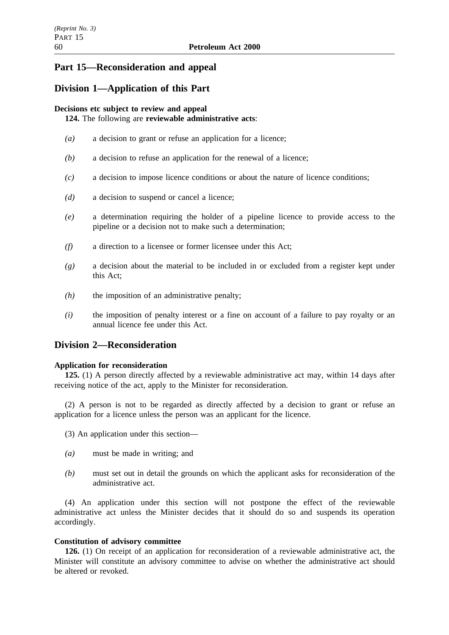# **Part 15—Reconsideration and appeal**

# **Division 1—Application of this Part**

## **Decisions etc subject to review and appeal**

**124.** The following are **reviewable administrative acts**:

- *(a)* a decision to grant or refuse an application for a licence;
- *(b)* a decision to refuse an application for the renewal of a licence;
- *(c)* a decision to impose licence conditions or about the nature of licence conditions;
- *(d)* a decision to suspend or cancel a licence;
- *(e)* a determination requiring the holder of a pipeline licence to provide access to the pipeline or a decision not to make such a determination;
- *(f)* a direction to a licensee or former licensee under this Act;
- *(g)* a decision about the material to be included in or excluded from a register kept under this Act;
- *(h)* the imposition of an administrative penalty;
- *(i)* the imposition of penalty interest or a fine on account of a failure to pay royalty or an annual licence fee under this Act.

# **Division 2—Reconsideration**

### **Application for reconsideration**

**125.** (1) A person directly affected by a reviewable administrative act may, within 14 days after receiving notice of the act, apply to the Minister for reconsideration.

(2) A person is not to be regarded as directly affected by a decision to grant or refuse an application for a licence unless the person was an applicant for the licence.

- (3) An application under this section—
- *(a)* must be made in writing; and
- *(b)* must set out in detail the grounds on which the applicant asks for reconsideration of the administrative act.

(4) An application under this section will not postpone the effect of the reviewable administrative act unless the Minister decides that it should do so and suspends its operation accordingly.

### **Constitution of advisory committee**

**126.** (1) On receipt of an application for reconsideration of a reviewable administrative act, the Minister will constitute an advisory committee to advise on whether the administrative act should be altered or revoked.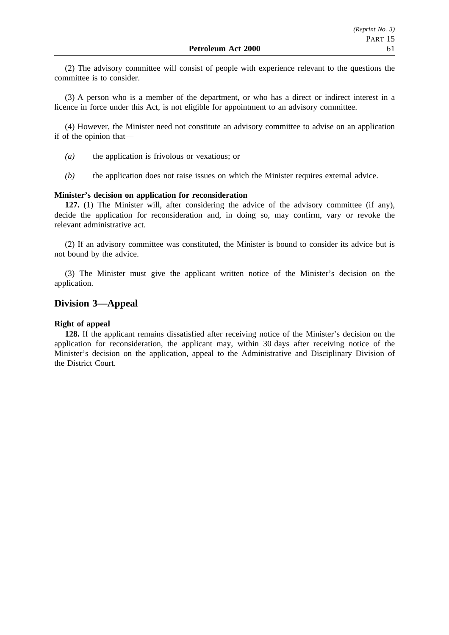(2) The advisory committee will consist of people with experience relevant to the questions the committee is to consider.

(3) A person who is a member of the department, or who has a direct or indirect interest in a licence in force under this Act, is not eligible for appointment to an advisory committee.

(4) However, the Minister need not constitute an advisory committee to advise on an application if of the opinion that—

- *(a)* the application is frivolous or vexatious; or
- *(b)* the application does not raise issues on which the Minister requires external advice.

#### **Minister's decision on application for reconsideration**

**127.** (1) The Minister will, after considering the advice of the advisory committee (if any), decide the application for reconsideration and, in doing so, may confirm, vary or revoke the relevant administrative act.

(2) If an advisory committee was constituted, the Minister is bound to consider its advice but is not bound by the advice.

(3) The Minister must give the applicant written notice of the Minister's decision on the application.

# **Division 3—Appeal**

#### **Right of appeal**

**128.** If the applicant remains dissatisfied after receiving notice of the Minister's decision on the application for reconsideration, the applicant may, within 30 days after receiving notice of the Minister's decision on the application, appeal to the Administrative and Disciplinary Division of the District Court.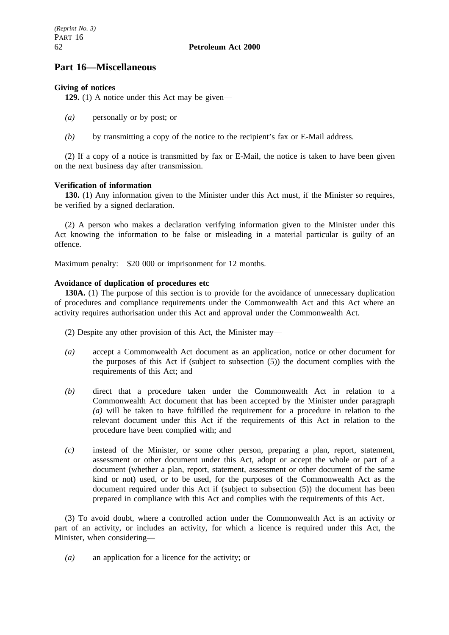# **Part 16—Miscellaneous**

# **Giving of notices**

**129.** (1) A notice under this Act may be given—

- *(a)* personally or by post; or
- *(b)* by transmitting a copy of the notice to the recipient's fax or E-Mail address.

(2) If a copy of a notice is transmitted by fax or E-Mail, the notice is taken to have been given on the next business day after transmission.

## **Verification of information**

**130.** (1) Any information given to the Minister under this Act must, if the Minister so requires, be verified by a signed declaration.

(2) A person who makes a declaration verifying information given to the Minister under this Act knowing the information to be false or misleading in a material particular is guilty of an offence.

Maximum penalty: \$20 000 or imprisonment for 12 months.

## **Avoidance of duplication of procedures etc**

**130A.** (1) The purpose of this section is to provide for the avoidance of unnecessary duplication of procedures and compliance requirements under the Commonwealth Act and this Act where an activity requires authorisation under this Act and approval under the Commonwealth Act.

(2) Despite any other provision of this Act, the Minister may—

- *(a)* accept a Commonwealth Act document as an application, notice or other document for the purposes of this Act if (subject to subsection (5)) the document complies with the requirements of this Act; and
- *(b)* direct that a procedure taken under the Commonwealth Act in relation to a Commonwealth Act document that has been accepted by the Minister under paragraph *(a)* will be taken to have fulfilled the requirement for a procedure in relation to the relevant document under this Act if the requirements of this Act in relation to the procedure have been complied with; and
- *(c)* instead of the Minister, or some other person, preparing a plan, report, statement, assessment or other document under this Act, adopt or accept the whole or part of a document (whether a plan, report, statement, assessment or other document of the same kind or not) used, or to be used, for the purposes of the Commonwealth Act as the document required under this Act if (subject to subsection (5)) the document has been prepared in compliance with this Act and complies with the requirements of this Act.

(3) To avoid doubt, where a controlled action under the Commonwealth Act is an activity or part of an activity, or includes an activity, for which a licence is required under this Act, the Minister, when considering—

*(a)* an application for a licence for the activity; or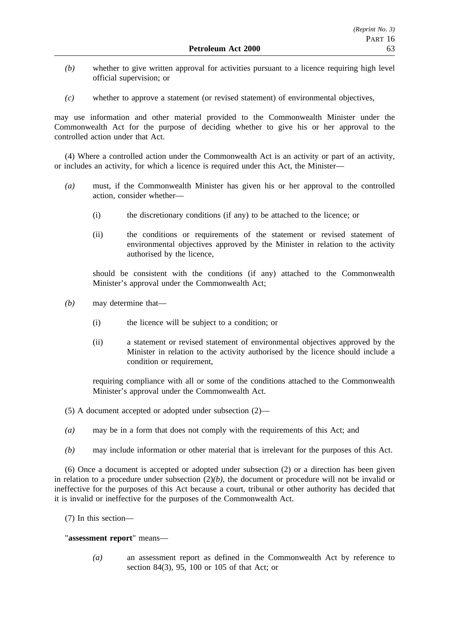- *(b)* whether to give written approval for activities pursuant to a licence requiring high level official supervision; or
- *(c)* whether to approve a statement (or revised statement) of environmental objectives,

may use information and other material provided to the Commonwealth Minister under the Commonwealth Act for the purpose of deciding whether to give his or her approval to the controlled action under that Act.

(4) Where a controlled action under the Commonwealth Act is an activity or part of an activity, or includes an activity, for which a licence is required under this Act, the Minister—

- *(a)* must, if the Commonwealth Minister has given his or her approval to the controlled action, consider whether—
	- (i) the discretionary conditions (if any) to be attached to the licence; or
	- (ii) the conditions or requirements of the statement or revised statement of environmental objectives approved by the Minister in relation to the activity authorised by the licence,

should be consistent with the conditions (if any) attached to the Commonwealth Minister's approval under the Commonwealth Act;

- *(b)* may determine that—
	- (i) the licence will be subject to a condition; or
	- (ii) a statement or revised statement of environmental objectives approved by the Minister in relation to the activity authorised by the licence should include a condition or requirement,

requiring compliance with all or some of the conditions attached to the Commonwealth Minister's approval under the Commonwealth Act.

- (5) A document accepted or adopted under subsection (2)—
- *(a)* may be in a form that does not comply with the requirements of this Act; and
- *(b)* may include information or other material that is irrelevant for the purposes of this Act.

(6) Once a document is accepted or adopted under subsection (2) or a direction has been given in relation to a procedure under subsection  $(2)(b)$ , the document or procedure will not be invalid or ineffective for the purposes of this Act because a court, tribunal or other authority has decided that it is invalid or ineffective for the purposes of the Commonwealth Act.

(7) In this section—

#### "**assessment report**" means—

*(a)* an assessment report as defined in the Commonwealth Act by reference to section 84(3), 95, 100 or 105 of that Act; or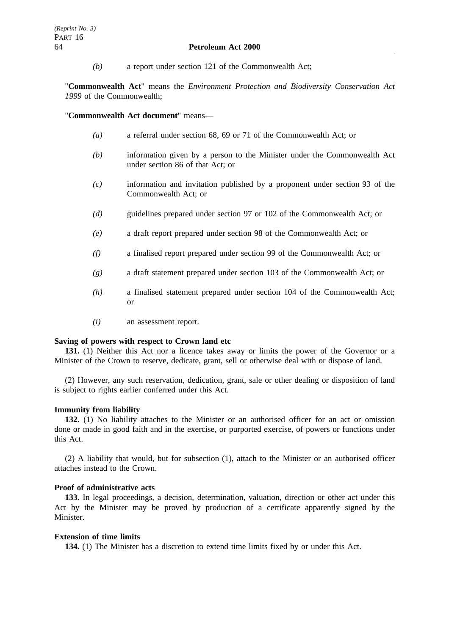*(b)* a report under section 121 of the Commonwealth Act;

"**Commonwealth Act**" means the *Environment Protection and Biodiversity Conservation Act 1999* of the Commonwealth;

"**Commonwealth Act document**" means—

- *(a)* a referral under section 68, 69 or 71 of the Commonwealth Act; or
- *(b)* information given by a person to the Minister under the Commonwealth Act under section 86 of that Act; or
- *(c)* information and invitation published by a proponent under section 93 of the Commonwealth Act; or
- *(d)* guidelines prepared under section 97 or 102 of the Commonwealth Act; or
- *(e)* a draft report prepared under section 98 of the Commonwealth Act; or
- *(f)* a finalised report prepared under section 99 of the Commonwealth Act; or
- *(g)* a draft statement prepared under section 103 of the Commonwealth Act; or
- *(h)* a finalised statement prepared under section 104 of the Commonwealth Act; or
- *(i)* an assessment report.

#### **Saving of powers with respect to Crown land etc**

**131.** (1) Neither this Act nor a licence takes away or limits the power of the Governor or a Minister of the Crown to reserve, dedicate, grant, sell or otherwise deal with or dispose of land.

(2) However, any such reservation, dedication, grant, sale or other dealing or disposition of land is subject to rights earlier conferred under this Act.

### **Immunity from liability**

**132.** (1) No liability attaches to the Minister or an authorised officer for an act or omission done or made in good faith and in the exercise, or purported exercise, of powers or functions under this Act.

(2) A liability that would, but for subsection (1), attach to the Minister or an authorised officer attaches instead to the Crown.

#### **Proof of administrative acts**

**133.** In legal proceedings, a decision, determination, valuation, direction or other act under this Act by the Minister may be proved by production of a certificate apparently signed by the **Minister** 

#### **Extension of time limits**

**134.** (1) The Minister has a discretion to extend time limits fixed by or under this Act.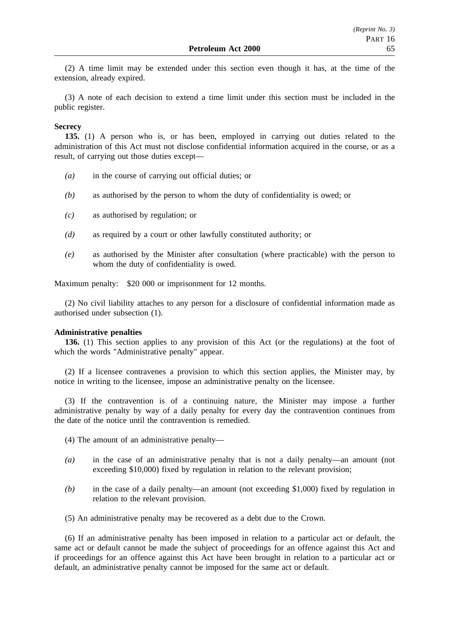(2) A time limit may be extended under this section even though it has, at the time of the extension, already expired.

(3) A note of each decision to extend a time limit under this section must be included in the public register.

#### **Secrecy**

**135.** (1) A person who is, or has been, employed in carrying out duties related to the administration of this Act must not disclose confidential information acquired in the course, or as a result, of carrying out those duties except—

- *(a)* in the course of carrying out official duties; or
- *(b)* as authorised by the person to whom the duty of confidentiality is owed; or
- *(c)* as authorised by regulation; or
- *(d)* as required by a court or other lawfully constituted authority; or
- *(e)* as authorised by the Minister after consultation (where practicable) with the person to whom the duty of confidentiality is owed.

Maximum penalty: \$20 000 or imprisonment for 12 months.

(2) No civil liability attaches to any person for a disclosure of confidential information made as authorised under subsection (1).

#### **Administrative penalties**

**136.** (1) This section applies to any provision of this Act (or the regulations) at the foot of which the words "Administrative penalty" appear.

(2) If a licensee contravenes a provision to which this section applies, the Minister may, by notice in writing to the licensee, impose an administrative penalty on the licensee.

(3) If the contravention is of a continuing nature, the Minister may impose a further administrative penalty by way of a daily penalty for every day the contravention continues from the date of the notice until the contravention is remedied.

- (4) The amount of an administrative penalty—
- *(a)* in the case of an administrative penalty that is not a daily penalty—an amount (not exceeding \$10,000) fixed by regulation in relation to the relevant provision;
- *(b)* in the case of a daily penalty—an amount (not exceeding \$1,000) fixed by regulation in relation to the relevant provision.
- (5) An administrative penalty may be recovered as a debt due to the Crown.

(6) If an administrative penalty has been imposed in relation to a particular act or default, the same act or default cannot be made the subject of proceedings for an offence against this Act and if proceedings for an offence against this Act have been brought in relation to a particular act or default, an administrative penalty cannot be imposed for the same act or default.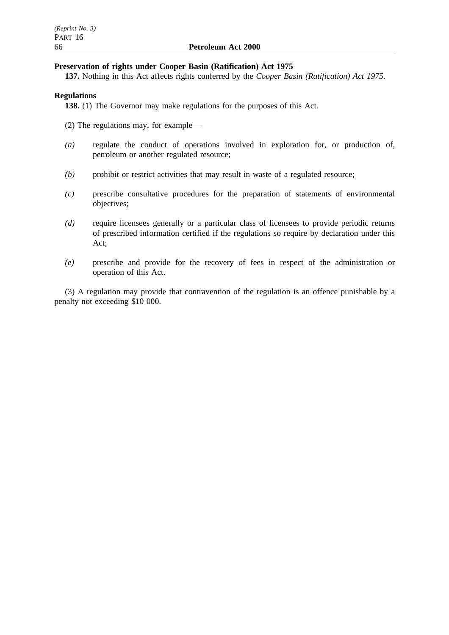### **Preservation of rights under Cooper Basin (Ratification) Act 1975**

**137.** Nothing in this Act affects rights conferred by the *Cooper Basin (Ratification) Act 1975*.

### **Regulations**

**138.** (1) The Governor may make regulations for the purposes of this Act.

(2) The regulations may, for example—

- *(a)* regulate the conduct of operations involved in exploration for, or production of, petroleum or another regulated resource;
- *(b)* prohibit or restrict activities that may result in waste of a regulated resource;
- *(c)* prescribe consultative procedures for the preparation of statements of environmental objectives;
- *(d)* require licensees generally or a particular class of licensees to provide periodic returns of prescribed information certified if the regulations so require by declaration under this Act;
- *(e)* prescribe and provide for the recovery of fees in respect of the administration or operation of this Act.

(3) A regulation may provide that contravention of the regulation is an offence punishable by a penalty not exceeding \$10 000.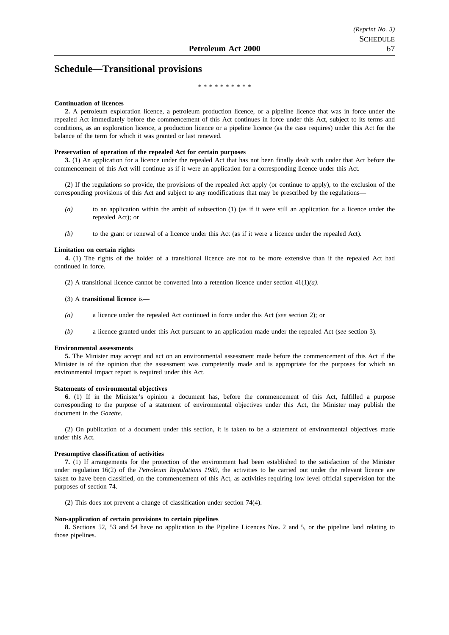# **Schedule—Transitional provisions**

#### \*\*\*\*\*\*\*\*\*\*

#### **Continuation of licences**

**2.** A petroleum exploration licence, a petroleum production licence, or a pipeline licence that was in force under the repealed Act immediately before the commencement of this Act continues in force under this Act, subject to its terms and conditions, as an exploration licence, a production licence or a pipeline licence (as the case requires) under this Act for the balance of the term for which it was granted or last renewed.

#### **Preservation of operation of the repealed Act for certain purposes**

**3.** (1) An application for a licence under the repealed Act that has not been finally dealt with under that Act before the commencement of this Act will continue as if it were an application for a corresponding licence under this Act.

(2) If the regulations so provide, the provisions of the repealed Act apply (or continue to apply), to the exclusion of the corresponding provisions of this Act and subject to any modifications that may be prescribed by the regulations-

- *(a)* to an application within the ambit of subsection (1) (as if it were still an application for a licence under the repealed Act); or
- *(b)* to the grant or renewal of a licence under this Act (as if it were a licence under the repealed Act).

#### **Limitation on certain rights**

**4.** (1) The rights of the holder of a transitional licence are not to be more extensive than if the repealed Act had continued in force.

(2) A transitional licence cannot be converted into a retention licence under section 41(1)*(a)*.

#### (3) A **transitional licence** is—

- *(a)* a licence under the repealed Act continued in force under this Act (*see* section 2); or
- *(b)* a licence granted under this Act pursuant to an application made under the repealed Act (*see* section 3).

#### **Environmental assessments**

**5.** The Minister may accept and act on an environmental assessment made before the commencement of this Act if the Minister is of the opinion that the assessment was competently made and is appropriate for the purposes for which an environmental impact report is required under this Act.

#### **Statements of environmental objectives**

**6.** (1) If in the Minister's opinion a document has, before the commencement of this Act, fulfilled a purpose corresponding to the purpose of a statement of environmental objectives under this Act, the Minister may publish the document in the *Gazette.*

(2) On publication of a document under this section, it is taken to be a statement of environmental objectives made under this Act.

#### **Presumptive classification of activities**

**7.** (1) If arrangements for the protection of the environment had been established to the satisfaction of the Minister under regulation 16(2) of the *Petroleum Regulations 1989*, the activities to be carried out under the relevant licence are taken to have been classified, on the commencement of this Act, as activities requiring low level official supervision for the purposes of section 74.

(2) This does not prevent a change of classification under section 74(4).

#### **Non-application of certain provisions to certain pipelines**

**8.** Sections 52, 53 and 54 have no application to the Pipeline Licences Nos. 2 and 5, or the pipeline land relating to those pipelines.